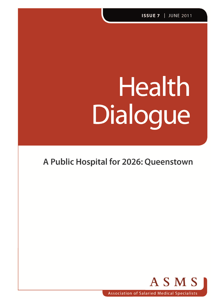# **Health** Dialogue

# A Public Hospital for 2026: Queenstown

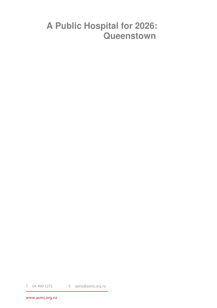# **A Public Hospital for 2026: Queenstown**

T 04 499 1271 E asms@asms.org.nz

www.asms.org.nz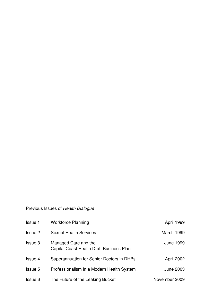#### Previous Issues of Health Dialogue

| <b>Issue 1</b> | <b>Workforce Planning</b>                                        | April 1999       |
|----------------|------------------------------------------------------------------|------------------|
| <b>Issue 2</b> | <b>Sexual Health Services</b>                                    | March 1999       |
| <b>Issue 3</b> | Managed Care and the<br>Capital Coast Health Draft Business Plan | <b>June 1999</b> |
| <b>Issue 4</b> | Superannuation for Senior Doctors in DHBs                        | April 2002       |
| Issue 5        | Professionalism in a Modern Health System                        | <b>June 2003</b> |
| Issue 6        | The Future of the Leaking Bucket                                 | November 2009    |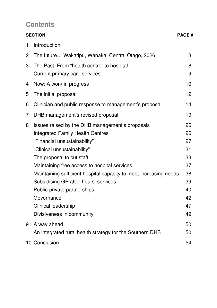#### **Contents**

|                | <b>SECTION</b>                                                    | <b>PAGE#</b> |
|----------------|-------------------------------------------------------------------|--------------|
| 1              | Introduction                                                      | 1            |
| $\overline{2}$ | The future Wakatipu, Wanaka, Central Otago, 2026                  | 3            |
| 3              | The Past: From "health centre" to hospital                        | 8            |
|                | Current primary care services                                     | 9            |
| 4              | Now: A work in progress                                           | 10           |
| 5              | The initial proposal                                              | 12           |
| 6              | Clinician and public response to management's proposal            | 14           |
| 7              | DHB management's revised proposal                                 | 19           |
| 8              | Issues raised by the DHB management's proposals                   | 26           |
|                | <b>Integrated Family Health Centres</b>                           | 26           |
|                | "Financial unsustainability"                                      | 27           |
|                | "Clinical unsustainability"                                       | 31           |
|                | The proposal to cut staff                                         | 33           |
|                | Maintaining free access to hospital services                      | 37           |
|                | Maintaining sufficient hospital capacity to meet increasing needs | 38           |
|                | Subsidising GP after-hours' services                              | 39           |
|                | Public-private partnerships                                       | 40           |
|                | Governance                                                        | 42           |
|                | <b>Clinical leadership</b>                                        | 47           |
|                | Divisiveness in community                                         | 49           |
| 9              | A way ahead                                                       | 50           |
|                | An integrated rural health strategy for the Southern DHB          | 50           |
|                | 10 Conclusion                                                     | 54           |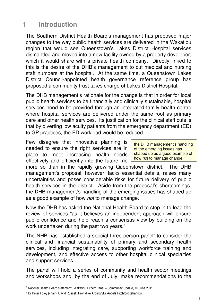## **1 Introduction**

The Southern District Health Board's management has proposed major changes to the way public health services are delivered in the Wakatipu region that would see Queenstown's Lakes District Hospital services dismantled and moved into a new facility owned by a property developer, which it would share with a private health company. Directly linked to this is the desire of the DHB's management to cut medical and nursing staff numbers at the hospital. At the same time, a Queenstown Lakes District Council-appointed health governance reference group has proposed a community trust takes charge of Lakes District Hospital.

The DHB management's rationale for the change is that in order for local public health services to be financially and clinically sustainable, hospital services need to be provided through an integrated family health centre where hospital services are delivered under the same roof as primary care and other health services. Its justification for the clinical staff cuts is that by diverting low acuity patients from the emergency department (ED) to GP practices, the ED workload would be reduced.

Few disagree that innovative planning is needed to ensure the right services are in place to meet increasing health needs effectively and efficiently into the future, no

the DHB management's handling of the emerging issues has shaped up as a good example of how not to manage change

more so than in the rapidly growing Queenstown district. The DHB management's proposal, however, lacks essential details, raises many uncertainties and poses considerable risks for future delivery of public health services in the district. Aside from the proposal's shortcomings, the DHB management's handling of the emerging issues has shaped up as a good example of how not to manage change.

Now the DHB has asked the National Health Board to step in to lead the review of services "as it believes an independent approach will ensure public confidence and help reach a consensus view by building on the work undertaken during the past two years."<sup>1</sup>

The NHB has established a special three-person panel 2 to consider the clinical and financial sustainability of primary and secondary health services, including integrating care, supporting workforce training and development, and effective access to other hospital clinical specialties and support services.

The panel will hold a series of community and health sector meetings and workshops and, by the end of July, make recommendations to the

<sup>&</sup>lt;sup>1</sup> National Health Board statement: Wakatipu Expert Panel – Community Update, 10 June 2011.

<sup>&</sup>lt;sup>2</sup> Dr Peter Foley (chair), David Russell, Prof Mike Ardargh/Dr Angela Pitchford (sharing)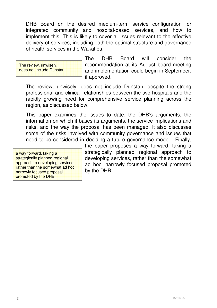DHB Board on the desired medium-term service configuration for integrated community and hospital-based services, and how to implement this. This is likely to cover all issues relevant to the effective delivery of services, including both the optimal structure and governance of health services in the Wakatipu.

The review, unwisely, does not include Dunstan

The DHB Board will consider the recommendation at its August board meeting and implementation could begin in September, if approved.

The review, unwisely, does not include Dunstan, despite the strong professional and clinical relationships between the two hospitals and the rapidly growing need for comprehensive service planning across the region, as discussed below.

This paper examines the issues to date: the DHB's arguments, the information on which it bases its arguments, the service implications and risks, and the way the proposal has been managed. It also discusses some of the risks involved with community governance and issues that need to be considered in deciding a future governance model. Finally,

a way forward, taking a strategically planned regional approach to developing services, rather than the somewhat ad hoc. narrowly focused proposal promoted by the DHB

the paper proposes a way forward, taking a strategically planned regional approach to developing services, rather than the somewhat ad hoc, narrowly focused proposal promoted by the DHB.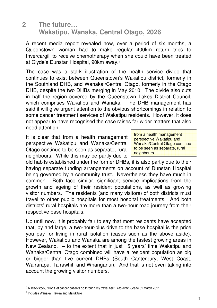#### **2 The future… Wakatipu, Wanaka, Central Otago, 2026**

A recent media report revealed how, over a period of six months, a Queenstown woman had to make regular 400km return trips to Invercargill to receive chemotherapy when she could have been treated at Clyde's Dunstan Hospital, 90km away.<sup>3</sup>

The case was a stark illustration of the health service divide that continues to exist between Queenstown's Wakatipu district, formerly in the Southland DHB, and Wanaka<sup>4</sup> /Central Otago, formerly in the Otago DHB, despite the two DHBs merging in May 2010. The divide also cuts in half the region covered by the Queenstown Lakes District Council, which comprises Wakatipu and Wanaka. The DHB management has said it will give urgent attention to the obvious shortcomings in relation to some cancer treatment services of Wakatipu residents. However, it does not appear to have recognised the case raises far wider matters that also need attention.

It is clear that from a health management perspective Wakatipu and Wanaka/Central Otago continue to be seen as separate, rural neighbours. While this may be partly due to from a health management perspective Wakatipu and Wanaka/Central Otago continue to be seen as separate, rural neighbours

old habits established under the former DHBs, it is also partly due to their having separate funding arrangements on account of Dunstan Hospital being governed by a community trust. Nevertheless they have much in common. Both face similar, significant service implications from the growth and ageing of their resident populations, as well as growing visitor numbers. The residents (and many visitors) of both districts must travel to other public hospitals for most hospital treatments. And both districts' rural hospitals are more than a two-hour road journey from their respective base hospitals.

Up until now, it is probably fair to say that most residents have accepted that, by and large, a two-hour-plus drive to the base hospital is the price you pay for living in rural isolation (cases such as the above aside). However, Wakatipu and Wanaka are among the fastest growing areas in New Zealand. – to the extent that in just 15 years' time Wakatipu and Wanaka/Central Otago combined will have a resident population as big or bigger than five current DHBs (South Canterbury, West Coast, Wairarapa, Tairawhiti and Whanganui). And that is not even taking into account the growing visitor numbers.

 $3$  R Blackstock, "Don't let cancer patients go through my travel hell". Mountain Scene 31 March 2011.

<sup>4</sup> Includes Wanaka, Hawea and Matukituki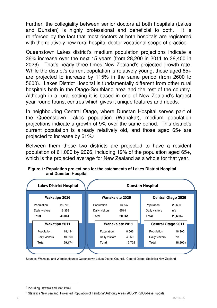Further, the collegiality between senior doctors at both hospitals (Lakes and Dunstan) is highly professional and beneficial to both. It is reinforced by the fact that most doctors at both hospitals are registered with the relatively new rural hospital doctor vocational scope of practice.

Queenstown Lakes district's medium population projections indicate a 36% increase over the next 15 years (from 28,200 in 2011 to 38,400 in 2026). That's nearly three times New Zealand's projected growth rate. While the district's current population is relatively young, those aged 65+ are projected to increase by 115% in the same period (from 2600 to 5600). Lakes District Hospital is fundamentally different from other rural hospitals both in the Otago-Southland area and the rest of the country. Although in a rural setting it is based in one of New Zealand's largest year-round tourist centres which gives it unique features and needs.

In neighbouring Central Otago, where Dunstan Hospital serves part of the Queenstown Lakes population (Wanaka $5$ ), medium population projections indicate a growth of 9% over the same period. This district's current population is already relatively old, and those aged 65+ are projected to increase by 61%. $6$ 

Between them these two districts are projected to have a resident population of 61,000 by 2026, including 19% of the population aged 65+, which is the projected average for New Zealand as a whole for that year.

|                      | <b>Lakes District Hospital</b> | <b>Dunstan Hospital</b> |                        |                |                 |                           |                           |           |
|----------------------|--------------------------------|-------------------------|------------------------|----------------|-----------------|---------------------------|---------------------------|-----------|
| Wakatipu 2026        |                                |                         | Wanaka etc 2026        |                |                 | <b>Central Otago 2026</b> |                           |           |
| Population           | 26,708                         |                         |                        | Population     | 13,747          |                           | Population                | 20,600    |
| Daily visitors       | 16,353                         |                         | Daily visitors<br>6514 |                |                 |                           | Daily visitors            | n/a       |
| Total                | 43,061                         |                         | Total<br>20,261        |                |                 | Total                     | $20,600+$                 |           |
| <b>Wakatipu 2011</b> |                                |                         |                        |                | Wanaka etc 2011 |                           | <b>Central Otago 2011</b> |           |
| Population           | 18,484                         |                         |                        | Population     | 8,666           |                           | Population                | 18,900    |
| Daily visitors       | 10,690                         |                         |                        | Daily visitors | 4,059           |                           | Daily visitors            | n/a       |
| Total                | 29,174                         |                         |                        | Total          | 12,725          |                           | <b>Total</b>              | $18,900+$ |

**Figure 1: Population projections for the catchments of Lakes District Hospital and Dunstan Hospital** 

Sources: Wakatipu and Wanaka figures: Queenstown Lakes District Council. Central Otago: Statistics New Zealand

<sup>5</sup> Including Hawera and Matukituki

 $6$  Statistics New Zealand, Projected Population of Territorial Authority Areas 2006-31 (2006-base) update.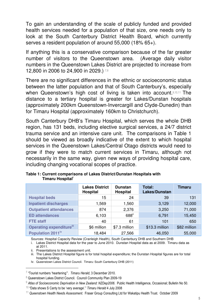To gain an understanding of the scale of publicly funded and provided health services needed for a population of that size, one needs only to look at the South Canterbury District Health Board, which currently serves a resident population of around 55,000 (18% 65+).

If anything this is a conservative comparison because of the far greater number of visitors to the Queenstown area. (Average daily visitor numbers in the Queenstown Lakes District are projected to increase from **12,800 in 2006 to 24,900 in 2029.)** 7,8

There are no significant differences in the ethnic or socioeconomic status between the latter population and that of South Canterbury's, especially when Queenstown's high cost of living is taken into account. 9,10,11 The distance to a tertiary hospital is greater for Lakes/Dunstan hospitals (approximately 200km Queenstown-Invercargill and Clyde-Dunedin) than for Timaru Hospital (approximately 160km to Christchurch).

South Canterbury DHB's Timaru Hospital, which serves the whole DHB region, has 131 beds, including elective surgical services, a 24/7 district trauma service and an intensive care unit. The comparisons in Table 1 should be viewed as broadly indicative of the extent to which hospital services in the Queenstown Lakes/Central Otago districts would need to grow if they were to match current services in Timaru, although not necessarily in the same way, given new ways of providing hospital care, including changing vocational scopes of practice.

|                                 | <b>Lakes District</b><br>Hospital | <b>Dunstan</b><br><b>Hospital</b> | Total:<br>Lakes/Dunstan | <b>Timaru</b> |
|---------------------------------|-----------------------------------|-----------------------------------|-------------------------|---------------|
| <b>Hospital beds</b>            | 15                                | 24                                | 39                      | 131           |
| <b>Inpatient discharges</b>     | 1,569                             | 1,560                             | 3,129                   | 12,000        |
| <b>Outpatient attendances</b>   | 874                               | 2,376                             | 3,250                   | 71,000        |
| <b>ED</b> attendances           | 6,103                             | 688 <sup>ii</sup>                 | 6,791                   | 15,450        |
| <b>FTE staff</b>                | 40                                | 61                                | 101                     | 650           |
| <b>Operating expenditureill</b> | \$6 million                       | \$7.3 million                     | \$13.3 million          | \$82 million  |
| Population 2011 <sup>iv</sup>   | 18,484                            | 27,566                            | 46,050                  | 55,000        |

**Table 1: Current comparisons of Lakes District/Dunstan Hospitals with Timaru Hospital<sup>i</sup>**

Sources: Hospital Capacity Review (Cranleigh Health), South Canterbury DHB and Southern DHB

i. Lakes District Hospital data for the year to June 2010. Dunstan Hospital data as at 2009. Timaru data as at 2011.

ii. Presentations to the assessment unit.

 $\ddot{\phantom{a}}$ 

iii. The Lakes District Hospital figure is for total hospital expenditure; the Dunstan Hospital figures are for total hospital funding.

iv. Queenstown Lakes District Council. Timaru: South Canterbury DHB (2011)

<sup>&</sup>lt;sup>7</sup> "Tourist numbers 'heartening". Timaru Herald, 3 December 2010.

<sup>&</sup>lt;sup>8</sup> Queenstown Lakes District Council. Council Community Plan 2009-19

<sup>9</sup> Atlas of Socioeconomic Deprivation in New Zealand: NZDep2006. Public Health Intelligence, Occasional; Bulletin No 50.

 $10$  "Data shows S Canty to be 'very average'." Timaru Herald 4 July 2008

<sup>&</sup>lt;sup>11</sup> Queenstown Health Needs Assessment. Fraser Group Consulting Ltd for Wakatipu Health Trust. October 2009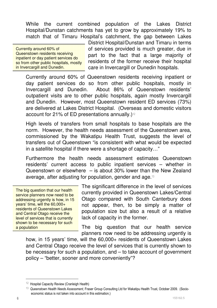While the current combined population of the Lakes District Hospital/Dunstan catchments has yet to grow by approximately 19% to match that of Timaru Hospital's catchment, the gap between Lakes

| Currently around 60% of                |
|----------------------------------------|
| Queenstown residents receiving         |
| inpatient or day patient services do   |
| so from other public hospitals, mostly |
| in Invercargill and Dunedin.           |

District Hospital/Dunstan and Timaru in terms of services provided is much greater, due in part to the fact that a large majority of residents of the former receive their hospital care in Invercargill or Dunedin hospitals.

Currently around 60% of Queenstown residents receiving inpatient or day patient services do so from other public hospitals, mostly in Invercargill and Dunedin. About 86% of Queenstown residents' outpatient visits are to other public hospitals, again mostly Invercargill and Dunedin. However, most Queenstown resident ED services (73%) are delivered at Lakes District Hospital. (Overseas and domestic visitors account for 21% of ED presentations annually.)<sup>12</sup>

High levels of transfers from small hospitals to base hospitals are the norm. However, the health needs assessment of the Queenstown area, commissioned by the Wakatipu Health Trust, suggests the level of transfers out of Queenstown "is consistent with what would be expected in a satellite hospital if there were a shortage of capacity…"

Furthermore the health needs assessment estimates Queenstown residents' current access to public inpatient services – whether in Queenstown or elsewhere – is about 30% lower than the New Zealand average, after adjusting for population, gender and age.<sup>13</sup>

The big question that our health service planners now need to be addressing urgently is how, in 15 years' time, will the 60,000+ residents of Queenstown Lakes and Central Otago receive the level of services that is currently shown to be necessary for such a population

The significant difference in the level of services currently provided in Queenstown Lakes/Central Otago compared with South Canterbury does not appear, then, to be simply a matter of population size but also a result of a relative lack of capacity in the former.

The big question that our health service planners now need to be addressing urgently is

how, in 15 years' time, will the 60,000+ residents of Queenstown Lakes and Central Otago receive the level of services that is currently shown to be necessary for such a population, and – to take account of government policy – "better, sooner and more conveniently"?

 $12$  Hospital Capacity Review (Cranleigh Health)

<sup>&</sup>lt;sup>13</sup> Queenstown Health Needs Assessment, Fraser Group Consulting Ltd for Wakatipu Health Trust, October 2009. (Socioeconomic status is not taken into account in this estimation.)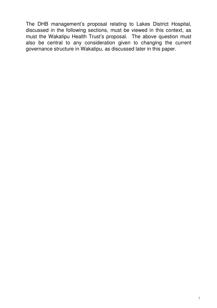The DHB management's proposal relating to Lakes District Hospital, discussed in the following sections, must be viewed in this context, as must the Wakatipu Health Trust's proposal. The above question must also be central to any consideration given to changing the current governance structure in Wakatipu, as discussed later in this paper.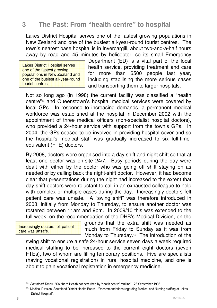#### **3 The Past: From "health centre" to hospital**

Lakes District Hospital serves one of the fastest growing populations in New Zealand and one of the busiest all-year-round tourist centres. The town's nearest base hospital is in Invercargill, about two-and-a-half hours away by road and 45 minutes by helicopter, so its small Emergency

Lakes District Hospital serves one of the fastest growing populations in New Zealand and one of the busiest all-year-round tourist centres.

Department (ED) is a vital part of the local health service, providing treatment and care for more than 6500 people last year, including stabilising the more serious cases and transporting them to larger hospitals.

Not so long ago (in 1998) the current facility was classified a "health centre"14 and Queenstown's hospital medical services were covered by local GPs. In response to increasing demands, a permanent medical workforce was established at the hospital in December 2002 with the appointment of three medical officers (non-specialist hospital doctors), who provided a 24-hour service with support from the town's GPs. In 2004, the GPs ceased to be involved in providing hospital cover and so the hospital's medical staff was gradually increased to six full-timeequivalent (FTE) doctors.

By 2008, doctors were organised into a day shift and night shift so that at least one doctor was on-site 24/7. Busy periods during the day were dealt with either by the doctor who was going off shift staying on as needed or by calling back the night-shift doctor. However, it had become clear that presentations during the night had increased to the extent that day-shift doctors were reluctant to call in an exhausted colleague to help with complex or multiple cases during the day. Increasingly doctors felt patient care was unsafe. A "swing shift" was therefore introduced in 2008, initially from Monday to Thursday, to ensure another doctor was rostered between 11am and 9pm. In 2009/10 this was extended to the full week, on the recommendation of the DHB's Medical Division, on the

Increasingly doctors felt patient care was unsafe.

grounds that the extra shift was needed as much from Friday to Sunday as it was from Monday to Thursday.<sup>15</sup> The introduction of the

swing shift to ensure a safe 24-hour service seven days a week required medical staffing to be increased to the current eight doctors (seven FTEs), two of whom are filling temporary positions. Five are specialists (having vocational registration) in rural hospital medicine, and one is about to gain vocational registration in emergency medicine.

 $14$  Southland Times. "Southern Health not perturbed by 'health centre' ranking". 23 September 1998.

 $15$  Medical Division, Southland District Health Board. "Recommendations regarding Medical and Nursing staffing at Lakes District Hospital".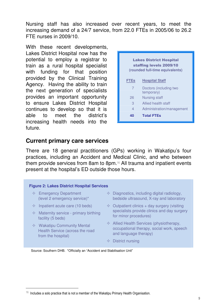Nursing staff has also increased over recent years, to meet the increasing demand of a 24/7 service, from 22.0 FTEs in 2005/06 to 26.2 FTE nurses in 2009/10.

With these recent developments, Lakes District Hospital now has the potential to employ a registrar to train as a rural hospital specialist with funding for that position provided by the Clinical Training Agency. Having the ability to train the next generation of specialists provides an important opportunity to ensure Lakes District Hospital continues to develop so that it is able to meet the district's increasing health needs into the future.



#### **Current primary care services**

There are 18 general practitioners (GPs) working in Wakatipu's four practices, including an Accident and Medical Clinic, and who between them provide services from 8am to 8pm.16 All trauma and inpatient events present at the hospital's ED outside those hours.

#### **Figure 2: Lakes District Hospital Services**

- $\Leftrightarrow$  Emergency Department (level 2 emergency service)\*
- $\Diamond$  Inpatient acute care (10 beds)
- $\Diamond$  Maternity service primary birthing facility (5 beds)
- $\Diamond$  Wakatipu Community Mental Health Service (across the road from the hospital)

 $\ddot{\phantom{a}}$ 

- $\Diamond$  Diagnostics, including digital radiology, bedside ultrasound, X-ray and laboratory
- $\Diamond$  Outpatient clinics + day surgery (visiting specialists provide clinics and day surgery for minor procedures)
- $\Diamond$  Allied Health Services (physiotherapy, occupational therapy, social work, speech and language therapy)
- $\Diamond$  District nursing

Source: Southern DHB. \*Officially an "Accident and Stabilisation Unit"

 $16$  Includes a solo practice that is not a member of the Wakatipu Primary Health Organisation.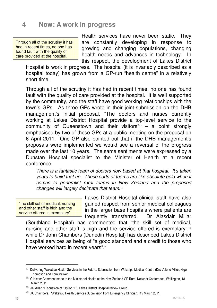#### **4 Now: A work in progress**

Through all of the scrutiny it has had in recent times, no one has found fault with the quality of care provided at the hospital.

Health services have never been static. They are constantly developing in response to growing and changing populations, changing health needs and advances in technology. In this respect, the development of Lakes District

Hospital is work in progress. The hospital (it is invariably described as a hospital today) has grown from a GP-run "health centre" in a relatively short time.

Through all of the scrutiny it has had in recent times, no one has found fault with the quality of care provided at the hospital. It is well supported by the community, and the staff have good working relationships with the town's GPs. As three GPs wrote in their joint-submission on the DHB management's initial proposal, "The doctors and nurses currently working at Lakes District Hospital provide a top-level service to the community of Queenstown and their visitors"17 – a point strongly emphasised by two of those GPs at a public meeting on the proposal on 6 April 2011. One GP also pointed out that if the DHB management's proposals were implemented we would see a reversal of the progress made over the last 10 years. The same sentiments were expressed by a Dunstan Hospital specialist to the Minister of Health at a recent conference.

There is a fantastic team of doctors now based at that hospital. It's taken years to build that up. Those sorts of teams are like absolute gold when it comes to generalist rural teams in New Zealand and the proposed changes will largely decimate that team.<sup>18</sup>

"the skill set of medical, nursing and other staff is high and the service offered is exemplary"

Lakes District Hospital clinical staff have also gained respect from senior medical colleagues in the larger base hospitals where patients are frequently transferred. Dr Alasdair Millar

(Southland Hospital) has commented that "the skill set of medical, nursing and other staff is high and the service offered is exemplary",<sup>19</sup> while Dr John Chambers (Dunedin Hospital) has described Lakes District Hospital services as being of "a good standard and a credit to those who have worked hard in recent years".<sup>20</sup>

 $17$  Delivering Wakatipu Health Services in the Future: Submission from Wakatipu Medical Centre (Drs Valerie Miller, Nigel Thompson and Tom Milliken)

<sup>&</sup>lt;sup>18</sup> G Nixon: Comment made to the Minister of Health at the New Zealand GP Rural Network Conference, Wellington, 18 March 2011.

<sup>19</sup> JA Millar, "Discussion of 'Option 1'". Lakes District Hospital review Group.

 $20$  JA Chambers. "Wakatipu Health Services Submission from Emergency Clinician. 15 March 2011.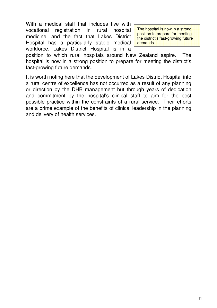With a medical staff that includes five with vocational registration in rural hospital medicine, and the fact that Lakes District Hospital has a particularly stable medical workforce, Lakes District Hospital is in a

The hospital is now in a strong position to prepare for meeting the district's fast-growing future demands.

position to which rural hospitals around New Zealand aspire. The hospital is now in a strong position to prepare for meeting the district's fast-growing future demands.

It is worth noting here that the development of Lakes District Hospital into a rural centre of excellence has not occurred as a result of any planning or direction by the DHB management but through years of dedication and commitment by the hospital's clinical staff to aim for the best possible practice within the constraints of a rural service. Their efforts are a prime example of the benefits of clinical leadership in the planning and delivery of health services.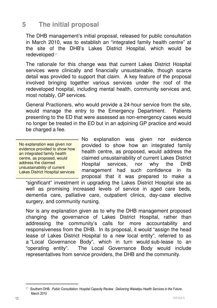#### **5 The initial proposal**

The DHB management's initial proposal, released for public consultation in March 2010, was to establish an "integrated family health centre" at the site of the DHB's Lakes District Hospital, which would be redeveloped.21

The rationale for this change was that current Lakes District Hospital services were clinically and financially unsustainable, though scarce detail was provided to support that claim. A key feature of the proposal involved bringing together various services under the roof of the redeveloped hospital, including mental health, community services and, most notably, GP services.

General Practioners, who would provide a 24-hour service from the site, would manage the entry to the Emergency Department. Patients presenting to the ED that were assessed as non-emergency cases would no longer be treated in the ED but in an adjoining GP practice and would be charged a fee.

No explanation was given nor evidence provided to show how an integrated family health centre, as proposed, would address the claimed unsustainability of current Lakes District Hospital services

No explanation was given nor evidence provided to show how an integrated family health centre, as proposed, would address the claimed unsustainability of current Lakes District Hospital services, nor why the DHB management had such confidence in its proposal that it was prepared to make a

"significant" investment in upgrading the Lakes District Hospital site as well as promising increased levels of service in aged care beds, dementia care, palliative care, outpatient clinics, day-case elective surgery, and community nursing.

Nor is any explanation given as to why the DHB management proposed changing the governance of Lakes District Hospital, rather than addressing the community's calls for more accountability and responsiveness from the DHB. In its proposal, it would "assign the head lease of Lakes District Hospital to a new local entity", referred to as a "Local Governance Body", which in turn would sub-lease to an "operating entity". The Local Governance Body would include representatives from service providers, the DHB and the community.

 $21$  Southern DHB. Public Consultation: Hospital Capacity Review. Delivering Wakatipu Health Services in the Future. March 2010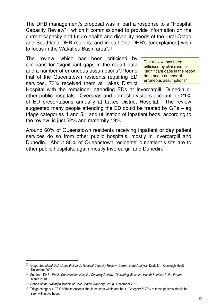The DHB management's proposal was in part a response to a "Hospital Capacity Review",22 which it commissioned to provide information on the current capacity and future health and disability needs of the rural Otago and Southland DHB regions, and in part "the DHB's [unexplained] wish to focus in the Wakatipu Basin area".<sup>23</sup>

The review, which has been criticised by clinicians for "significant gaps in the report data and a number of erroneous assumptions",<sup>24</sup> found that of the Queenstown residents requiring ED services, 73% received them at Lakes District

The review, has been criticised by clinicians for "significant gaps in the report data and a number of erroneous assumptions"

Hospital with the remainder attending EDs at Invercargill, Dunedin or other public hospitals. Overseas and domestic visitors account for 21% of ED presentations annually at Lakes District Hospital. The review suggested many people attending the ED could be treated by GPs – eg triage categories 4 and 5.<sup>25</sup> and utilisation of inpatient beds, according to the review, is just 52% and maternity 19%.

Around 60% of Queenstown residents receiving inpatient or day patient services do so from other public hospitals, mostly in Invercargill and Dunedin. About 86% of Queenstown residents' outpatient visits are to other public hospitals, again mostly Invercargill and Dunedin.

 $\ddot{\phantom{a}}$ 

 $^{22}$  Otago Southland District health Boards Hospital Capacity Review: Current state Analysis, Draft 4.1. Cranleigh Health, December 2009.

 $^{23}$  Southern DHB. Public Consultation: Hospital Capacity Review. Delivering Wakatipu Health Services in the Future. March 2010

 $^{24}$  Report of the Wakatipu Models of Care Clinical Advisory Group. December 2010.

<sup>&</sup>lt;sup>25</sup> Triage category 4: 70% of these patients should be seen within one hour. Category 5: 70% of these patients should be seen within two hours.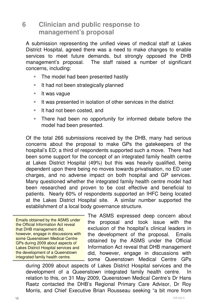#### **6 Clinician and public response to management's proposal**

A submission representing the unified views of medical staff at Lakes District Hospital, agreed there was a need to make changes to enable services to meet future demands, but strongly opposed the DHB management's proposal. The staff raised a number of significant concerns, including:

- -The model had been presented hastily
- -It had not been strategically planned
- -It was vague
- -It was presented in isolation of other services in the district
- -It had not been costed, and
- - There had been no opportunity for informed debate before the model had been presented.

Of the total 266 submissions received by the DHB, many had serious concerns about the proposal to make GPs the gatekeepers of the hospital's ED; a third of respondents supported such a move. There had been some support for the concept of an integrated family health centre at Lakes District Hospital (49%) but this was heavily qualified, being dependent upon there being no moves towards privatisation, no ED user charges, and no adverse impact on both hospital and GP services. Many questioned whether the integrated family health centre model had been researched and proven to be cost effective and beneficial to patients. Nearly 60% of respondents supported an IHFC being located at the Lakes District Hospital site. A similar number supported the establishment of a local body governance structure.

Emails obtained by the ASMS under the Official Information Act reveal that DHB management did, however, engage in discussions with some Queenstown Medical Centre GPs during 2009 about aspects of Lakes District Hospital services and the development of a Queenstown integrated family health centre.

The ASMS expressed deep concern about the proposal and took issue with the exclusion of the hospital's clinical leaders in the development of the proposal. Emails obtained by the ASMS under the Official Information Act reveal that DHB management did, however, engage in discussions with some Queenstown Medical Centre GPs

during 2009 about aspects of Lakes District Hospital services and the development of a Queenstown integrated family health centre. In relation to this, on 31 May 2009, Queenstown Medical Centre's Dr Hans Raetz contacted the DHB's Regional Primary Care Advisor, Dr Roy Morris, and Chief Executive Brian Rousseau seeking "a bit more from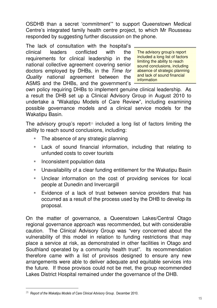OSDHB than a secret 'commitment'" to support Queenstown Medical Centre's integrated family health centre project, to which Mr Rousseau responded by suggesting further discussion on the phone.

The lack of consultation with the hospital's clinical leaders conflicted with the requirements for clinical leadership in the national collective agreement covering senior doctors employed by DHBs, in the Time for Quality national agreement between the ASMS and the DHBs, and the government's

The advisory group's report included a long list of factors limiting the ability to reach sound conclusions, including absence of strategic planning and lack of sound financial **information** 

own policy requiring DHBs to implement genuine clinical leadership. As a result the DHB set up a Clinical Advisory Group in August 2010 to undertake a "Wakatipu Models of Care Review", including examining possible governance models and a clinical service models for the Wakatipu Basin.

The advisory group's report<sup>26</sup> included a long list of factors limiting the ability to reach sound conclusions, including:

- -The absence of any strategic planning
- - Lack of sound financial information, including that relating to unfunded costs to cover tourists
- -Inconsistent population data
- -Unavailability of a clear funding entitlement for the Wakatipu Basin
- - Unclear information on the cost of providing services for local people at Dunedin and Invercargill
- - Evidence of a lack of trust between service providers that has occurred as a result of the process used by the DHB to develop its proposal.

On the matter of governance, a Queenstown Lakes/Central Otago regional governance approach was recommended, but with considerable caution. The Clinical Advisory Group was "very concerned about the vulnerability of this model in relation to funding restrictions that may place a service at risk, as demonstrated in other facilities in Otago and Southland operated by a community health trust". Its recommendation therefore came with a list of provisos designed to ensure any new arrangements were able to deliver adequate and equitable services into the future. If those provisos could not be met, the group recommended Lakes District Hospital remained under the governance of the DHB.

 $\ddot{\phantom{a}}$ 

 $^{26}$  Report of the Wakatipu Models of Care Clinical Advisory Group. December 2010.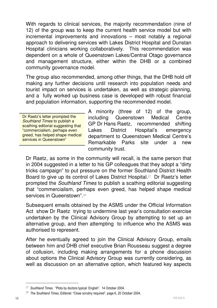With regards to clinical services, the majority recommendation (nine of 12) of the group was to keep the current health service model but with incremental improvements and innovations – most notably a regional approach to delivering services with Lakes District Hospital and Dunstan Hospital clinicians working collaboratively. This recommendation was dependent on a whole of Queenstown Lakes/Central Otago governance and management structure, either within the DHB or a combined community governance model.

The group also recommended, among other things, that the DHB hold off making any further decisions until research into population needs and tourist impact on services is undertaken, as well as strategic planning, and a fully worked up business case is developed with robust financial and population information, supporting the recommended model.

Dr Raetz's letter prompted the Southland Times to publish a scathing editorial suggesting that "commercialism, perhaps even greed, has helped shape medical services in Queenstown"

A minority (three of 12) of the group, including Queenstown Medical Centre GP Dr Hans Raetz, recommended shifting Lakes District Hospital's emergency department to Queenstown Medical Centre's Remarkable Parks site under a new community trust.

Dr Raetz, as some in the community will recall, is the same person that in 2004 suggested in a letter to his GP colleagues that they adopt a "dirty tricks campaign" to put pressure on the former Southland District Health Board to give up its control of Lakes District Hospital.27 Dr Raetz's letter prompted the Southland Times to publish a scathing editorial suggesting that "commercialism, perhaps even greed, has helped shape medical services in Queenstown".<sup>28</sup>

Subsequent emails obtained by the ASMS under the Official Information Act show Dr Raetz trying to undermine last year's consultation exercise undertaken by the Clinical Advisory Group by attempting to set up an alternative group, and then attempting to influence who the ASMS was authorised to represent.

After he eventually agreed to join the Clinical Advisory Group, emails between him and DHB chief executive Brian Rousseau suggest a degree of collusion, including making arrangements for a phone discussion about options the Clinical Advisory Group was currently considering, as well as discussion on an alternative option, which featured key aspects

<sup>&</sup>lt;sup>27</sup> Southland Times. "Plots by doctors typical: English". 14 October 2004.

 $28$  The Southland Times, Editorial: "Close scrutiny required", page 6, 20 October 2004.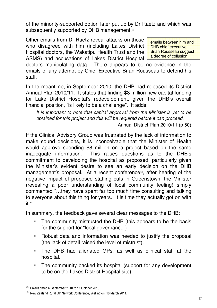of the minority-supported option later put up by Dr Raetz and which was subsequently supported by DHB management.<sup>29</sup>

Other emails from Dr Raetz reveal attacks on those who disagreed with him (including Lakes District Hospital doctors, the Wakatipu Health Trust and the ASMS) and accusations of Lakes District Hospital

emails between him and DHB chief executive Brian Rousseau suggest a degree of collusion

doctors manipulating data. There appears to be no evidence in the emails of any attempt by Chief Executive Brian Rousseau to defend his staff.

In the meantime, in September 2010, the DHB had released its District Annual Plan 2010/11. It states that finding \$8 million new capital funding for Lake District Hospital's redevelopment, given the DHB's overall financial position, "is likely to be a challenge". It adds:

It is important to note that capital approval from the Minister is yet to be obtained for this project and this will be required before it can proceed.

Annual District Plan 2010/11 (p 50)

If the Clinical Advisory Group was frustrated by the lack of information to make sound decisions, it is inconceivable that the Minister of Health would approve spending \$8 million on a project based on the same inadequate information. This raises questions as to the DHB's commitment to developing the hospital as proposed, particularly given the Minister's evident desire to see an early decision on the DHB management's proposal. At a recent conference30, after hearing of the negative impact of proposed staffing cuts in Queenstown, the Minister (revealing a poor understanding of local community feeling) simply commented "…they have spent far too much time consulting and talking to everyone about this thing for years. It is time they actually got on with it."

In summary, the feedback gave several clear messages to the DHB:

- - The community mistrusted the DHB (this appears to be the basis for the support for "local governance").
- - Robust data and information was needed to justify the proposal (the lack of detail raised the level of mistrust).
- - The DHB had alienated GPs, as well as clinical staff at the hospital.
- - The community backed its hospital (support for any development to be on the Lakes District Hospital site).

<sup>29</sup> Emails dated 6 September 2010 to 11 October 2010.

<sup>30</sup> New Zealand Rural GP Network Conference, Wellington, 18 March 2011.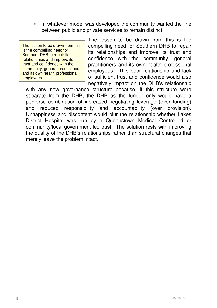- In whatever model was developed the community wanted the line between public and private services to remain distinct.

The lesson to be drawn from this is the compelling need for Southern DHB to repair its relationships and improve its trust and confidence with the community, general practitioners and its own health professional employees.

The lesson to be drawn from this is the compelling need for Southern DHB to repair its relationships and improve its trust and confidence with the community, general practitioners and its own health professional employees. This poor relationship and lack of sufficient trust and confidence would also negatively impact on the DHB's relationship

with any new governance structure because, if this structure were separate from the DHB, the DHB as the funder only would have a perverse combination of increased negotiating leverage (over funding) and reduced responsibility and accountability (over provision). Unhappiness and discontent would blur the relationship whether Lakes District Hospital was run by a Queenstown Medical Centre-led or community/local government-led trust. The solution rests with improving the quality of the DHB's relationships rather than structural changes that merely leave the problem intact.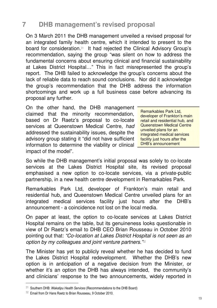## **7 DHB management's revised proposal**

On 3 March 2011 the DHB management unveiled a revised proposal for an integrated family health centre, which it intended to present to the board for consideration.31 It had rejected the Clinical Advisory Group's recommendation, saying the group "was silent on how to address the fundamental concerns about ensuring clinical and financial sustainability at Lakes District Hospital…" This in fact misrepresented the group's report. The DHB failed to acknowledge the group's concerns about the lack of reliable data to reach sound conclusions. Nor did it acknowledge the group's recommendation that the DHB address the information shortcomings and work up a full business case before advancing its proposal any further.

On the other hand, the DHB management claimed that the minority recommendation, based on Dr Raetz's proposal to co-locate services at Queenstown Medical Centre, had addressed the sustainability issues, despite the advisory group stating it "did not have sufficient information to determine the viability or clinical impact of the model".

Remarkables Park Ltd, developer of Frankton's main retail and residential hub, and Queenstown Medical Centre unveiled plans for an integrated medical services facility just hours after the DHB's announcement

So while the DHB management's initial proposal was solely to co-locate services at the Lakes District Hospital site, its revised proposal emphasised a new option to co-locate services, via a private-public partnership, in a new health centre development in Remarkables Park.

Remarkables Park Ltd, developer of Frankton's main retail and residential hub, and Queenstown Medical Centre unveiled plans for an integrated medical services facility just hours after the DHB's announcement - a coincidence not lost on the local media.

On paper at least, the option to co-locate services at Lakes District Hospital remains on the table, but its genuineness looks questionable in view of Dr Raetz's email to DHB CEO Brian Rousseau in October 2010 pointing out that: "Co-location at Lakes District Hospital is not seen as an option by my colleagues and joint venture partners." 32

The Minister has yet to publicly reveal whether he has decided to fund the Lakes District Hospital redevelopment. Whether the DHB's new option is in anticipation of a negative decision from the Minister, or whether it's an option the DHB has always intended, the community's and clinicians' response to the two announcements, widely reported in

 $31$  Southern DHB: Wakatipu Health Services (Recommendations to the DHB Board)

<sup>32</sup> Email from Dr Hans Raetz to Brian Rousseau, 9 October 2010.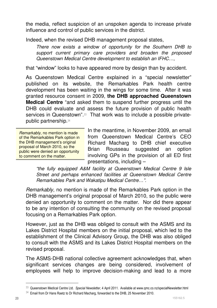the media, reflect suspicion of an unspoken agenda to increase private influence and control of public services in the district.

Indeed, when the revised DHB management proposal states,

There now exists a window of opportunity for the Southern DHB to support current primary care providers and broaden the proposed Queenstown Medical Centre development to establish an IFHC…,

that "window" looks to have appeared more by design than by accident.

As Queenstown Medical Centre explained in a "special newsletter" published on its website, the Remarkables Park health centre development has been waiting in the wings for some time. After it was granted resource consent in 2009, **the DHB approached Queenstown Medical Centre** "and asked them to suspend further progress until the DHB could evaluate and assess the future provision of public health services in Queenstown".<sup>33</sup> That work was to include a possible privatepublic partnership.<sup>34</sup>

Remarkably, no mention is made of the Remarkables Park option in the DHB management's original proposal of March 2010, so the public were denied an opportunity to comment on the matter.

In the meantime, in November 2009, an email from Queenstown Medical Centre's CEO Richard Macharg to DHB chief executive Brian Rousseau suggested an option involving GPs in the provision of all ED first presentations, including –

"the fully equipped A&M facility at Queenstown Medical Centre 9 Isle Street and perhaps enhanced facilities at Queenstown Medical Centre Remarkables Park and Wakatipu Medical Centre…".

Remarkably, no mention is made of the Remarkables Park option in the DHB management's original proposal of March 2010, so the public were denied an opportunity to comment on the matter. Nor did there appear to be any intention of consulting the community on the revised proposal focusing on a Remarkables Park option.

However, just as the DHB was obliged to consult with the ASMS and its Lakes District Hospital members on the initial proposal, which led to the establishment of the Clinical Advisory Group, the DHB was also obliged to consult with the ASMS and its Lakes District Hospital members on the revised proposal.

The ASMS-DHB national collective agreement acknowledges that, when significant services changes are being considered, involvement of employees will help to improve decision-making and lead to a more

<sup>33</sup> Queenstown Medical Centre Ltd. Special Newsletter, 4 April 2011. Available at www.qmc.co.nz/specialNewsletter.html

 $34$  Email from Dr Hans Raetz to Dr Richard Macharg, forwarded to the DHB, 25 November 2010.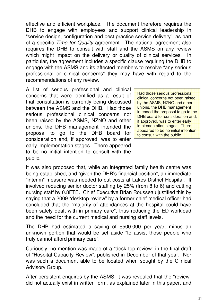effective and efficient workplace. The document therefore requires the DHB to engage with employees and support clinical leadership in "service design, configuration and best practice service delivery", as part of a specific Time for Quality agreement. The national agreement also requires the DHB to consult with staff and the ASMS on any review which might impact on the delivery or quality of clinical services. In particular, the agreement includes a specific clause requiring the DHB to engage with the ASMS and its affected members to resolve "any serious professional or clinical concerns" they may have with regard to the recommendations of any review.

A list of serious professional and clinical concerns that were identified as a result of that consultation is currently being discussed between the ASMS and the DHB. Had those serious professional clinical concerns not been raised by the ASMS, NZNO and other unions, the DHB management intended the proposal to go to the DHB board for consideration and, if approved, was to enter early implementation stages. There appeared to be no initial intention to consult with the public.

Had those serious professional clinical concerns not been raised by the ASMS, NZNO and other unions, the DHB management intended the proposal to go to the DHB board for consideration and, if approved, was to enter early implementation stages. There appeared to be no initial intention to consult with the public.

It was also proposed that, while an integrated family health centre was being established, and "given the DHB's financial position", an immediate "interim" measure was needed to cut costs at Lakes District Hospital. It involved reducing senior doctor staffing by 25% (from 8 to 6) and cutting nursing staff by 0.8FTE. Chief Executive Brian Rousseau justified this by saying that a 2009 "desktop review" by a former chief medical officer had concluded that the "majority of attendances at the hospital could have been safely dealt with in primary care", thus reducing the ED workload and the need for the current medical and nursing staff levels.

The DHB had estimated a saving of \$500,000 per year, minus an unknown portion that would be set aside "to assist those people who truly cannot afford primary care".

Curiously, no mention was made of a "desk top review" in the final draft of "Hospital Capacity Review", published in December of that year. Nor was such a document able to be located when sought by the Clinical Advisory Group.

After persistent enquires by the ASMS, it was revealed that the "review" did not actually exist in written form, as explained later in this paper, and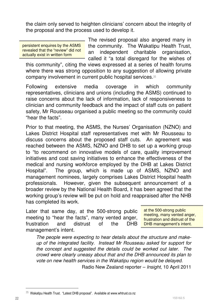the claim only served to heighten clinicians' concern about the integrity of the proposal and the process used to develop it.

persistent enquires by the ASMS revealed that the "review" did not actually exist in written form

The revised proposal also angered many in the community. The Wakatipu Health Trust, an independent charitable organisation, called it "a total disregard for the wishes of

this community", citing the views expressed at a series of health forums where there was strong opposition to any suggestion of allowing private company involvement in current public hospital services.<sup>35</sup>

Following extensive media coverage in which community representatives, clinicians and unions (including the ASMS) continued to raise concerns about the lack of information, lack of responsiveness to clinician and community feedback and the impact of staff cuts on patient safety, Mr Rousseau organised a public meeting so the community could "hear the facts".

Prior to that meeting, the ASMS, the Nurses' Organisation (NZNO) and Lakes District Hospital staff representatives met with Mr Rousseau to discuss concerns about the proposed staff cuts. An agreement was reached between the ASMS, NZNO and DHB to set up a working group to "to recommend on innovative models of care, quality improvement initiatives and cost saving initiatives to enhance the effectiveness of the medical and nursing workforce employed by the DHB at Lakes District Hospital". The group, which is made up of ASMS, NZNO and management nominees, largely comprises Lakes District Hospital health professionals. However, given the subsequent announcement of a broader review by the National Health Board, it has been agreed that the working group's review will be put on hold and reappraised after the NHB has completed its work.

Later that same day, at the 500-strong public meeting to "hear the facts", many vented anger, frustration and distrust of the DHB management's intent.

at the 500-strong public meeting, many vented anger, frustration and distrust of the DHB management's intent.

The people were expecting to hear details about the structure and makeup of the integrated facility. Instead Mr Rousseau asked for support for the concept and suggested the details could be worked out later. The crowd were clearly uneasy about that and the DHB announced its plan to vote on new health services in the Wakatipu region would be delayed.

Radio New Zealand reporter – Insight, 10 April 2011

 $\ddot{\phantom{a}}$ 

 $35$  Wakatipu Health Trust. "Latest DHB proposal". Available at www.whtrust.co.nz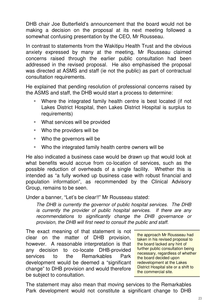DHB chair Joe Butterfield's announcement that the board would not be making a decision on the proposal at its next meeting followed a somewhat confusing presentation by the CEO, Mr Rousseau.

In contrast to statements from the Wakitipu Health Trust and the obvious anxiety expressed by many at the meeting, Mr Rousseau claimed concerns raised through the earlier public consultation had been addressed in the revised proposal. He also emphasised the proposal was directed at ASMS and staff (ie not the public) as part of contractual consultation requirements.

He explained that pending resolution of professional concerns raised by the ASMS and staff, the DHB would start a process to determine:

- - Where the integrated family health centre is best located (if not Lakes District Hospital, then Lakes District Hospital is surplus to requirements)
- -What services will be provided
- -Who the providers will be
- -Who the governors will be
- -Who the integrated family health centre owners will be

He also indicated a business case would be drawn up that would look at what benefits would accrue from co-location of services, such as the possible reduction of overheads of a single facility. Whether this is intended as "a fully worked up business case with robust financial and population information", as recommended by the Clinical Advisory Group, remains to be seen.

Under a banner, "Let's be clear!!" Mr Rousseau stated:

The DHB is currently the governor of public hospital services. The DHB is currently the provider of public hospital services. If there are any recommendations to significantly change the DHB governance or provision, the DHB will first need to consult the public and staff.

The exact meaning of that statement is not clear on the matter of DHB provision, however. A reasonable interpretation is that any decision to co-locate DHB-provided services to the Remarkables Park development would be deemed a "significant change" to DHB provision and would therefore be subject to consultation.

the approach Mr Rousseau had taken in his revised proposal to the board lacked any hint of further public consultation being necessary, regardless of whether the board decided upon redevelopment at the Lakes District Hospital site or a shift to the commercial site.

The statement may also mean that moving services to the Remarkables Park development would not constitute a significant change to DHB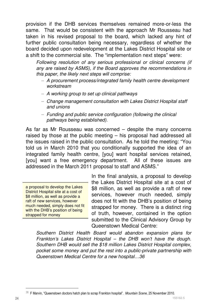provision if the DHB services themselves remained more-or-less the same. That would be consistent with the approach Mr Rousseau had taken in his revised proposal to the board, which lacked any hint of further public consultation being necessary, regardless of whether the board decided upon redevelopment at the Lakes District Hospital site or a shift to the commercial site. The "implementation next steps" were:

Following resolution of any serious professional or clinical concerns (if any are raised by ASMS), if the Board approves the recommendations in this paper, the likely next steps will comprise:

- A procurement process/integrated family health centre development workstream
- A working group to set up clinical pathways
- Change management consultation with Lakes District Hospital staff and unions
- Funding and public service configuration (following the clinical pathways being established).

As far as Mr Rousseau was concerned – despite the many concerns raised by those at the public meeting – his proposal had addressed all the issues raised in the public consultation. As he told the meeting: "You told us in March 2010 that you conditionally supported the idea of an integrated family health centre, [you] want hospital services retained, [you] want a free emergency department. All of these issues are addressed in the March 2011 proposal to staff and ASMS."

a proposal to develop the Lakes District Hospital site at a cost of \$8 million, as well as provide a raft of new services, however much needed, simply does not fit with the DHB's position of being strapped for money

In the final analysis, a proposal to develop the Lakes District Hospital site at a cost of \$8 million, as well as provide a raft of new services, however much needed, simply does not fit with the DHB's position of being strapped for money. There is a distinct ring of truth, however, contained in the option submitted to the Clinical Advisory Group by Queenstown Medical Centre:

Southern District Health Board would abandon expansion plans for Frankton's Lakes District Hospital – the DHB won't have the dough. Southern DHB would sell the \$18 million Lakes District Hospital complex, pocket some money and put the rest into a public-private partnership with Queenstown Medical Centre for a new hospital…36

 $\ddot{\phantom{a}}$ 

 $36$  F Marvin, "Queenstown doctors hatch plan to scrap Frankton hospital". Mountain Scene, 25 November 2010.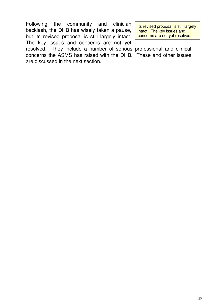Following the community and clinician backlash, the DHB has wisely taken a pause, but its revised proposal is still largely intact. The key issues and concerns are not yet

its revised proposal is still largely intact. The key issues and concerns are not yet resolved

resolved. They include a number of serious professional and clinical concerns the ASMS has raised with the DHB. These and other issues are discussed in the next section.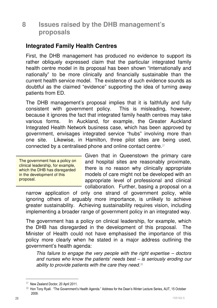#### **8 Issues raised by the DHB management's proposals**

#### **Integrated Family Health Centres**

First, the DHB management has produced no evidence to support its rather obliquely expressed claim that the particular integrated family health centre model in its proposal has been shown "internationally and nationally" to be more clinically and financially sustainable than the current health service model. The existence of such evidence sounds as doubtful as the claimed "evidence" supporting the idea of turning away patients from ED.

The DHB management's proposal implies that it is faithfully and fully consistent with government policy. This is misleading, however, because it ignores the fact that integrated family health centres may take various forms. In Auckland, for example, the Greater Auckland Integrated Health Network business case, which has been approved by government, envisages integrated service "hubs" involving more than one site. Likewise, in Hamilton, three pilot sites are being used, connected by a centralised phone and online contact centre.<sup>37</sup>

The government has a policy on clinical leadership, for example, which the DHB has disregarded in the development of this proposal.

Given that in Queenstown the primary care and hospital sites are reasonably proximate, there is no reason why clinically appropriate models of care might not be developed with an appropriate level of professional and clinical collaboration. Further, basing a proposal on a

narrow application of only one strand of government policy, while ignoring others of arguably more importance, is unlikely to achieve greater sustainability. Achieving sustainability requires vision, including implementing a broader range of government policy in an integrated way.

The government has a policy on clinical leadership, for example, which the DHB has disregarded in the development of this proposal. The Minister of Health could not have emphasised the importance of this policy more clearly when he stated in a major address outlining the government's health agenda:

This failure to engage the very people with the right expertise – doctors and nurses who know the patients' needs best – is seriously eroding our ability to provide patients with the care they need.<sup>38</sup>

<sup>37</sup> New Zealand Doctor, 20 April 2011.

<sup>38</sup> Hon Tony Ryall. "The Government's Health Agenda." Address for the Dean's Winter Lecture Series, AUT, 15 October 2009.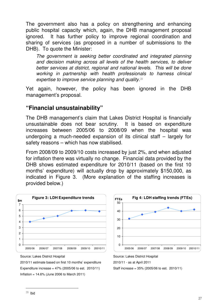The government also has a policy on strengthening and enhancing public hospital capacity which, again, the DHB management proposal ignored. It has further policy to improve regional coordination and sharing of services (as proposed in a number of submissions to the DHB). To quote the Minister:

The government is seeking better coordinated and integrated planning and decision making across all levels of the health services, to deliver better services at district, regional and national levels. This will be done working in partnership with health professionals to harness clinical expertise to improve service planning and quality.<sup>39</sup>

Yet again, however, the policy has been ignored in the DHB management's proposal.

#### **"Financial unsustainability"**

The DHB management's claim that Lakes District Hospital is financially unsustainable does not bear scrutiny. It is based on expenditure increases between 2005/06 to 2008/09 when the hospital was undergoing a much-needed expansion of its clinical staff – largely for safety reasons – which has now stabilised.

From 2008/09 to 2009/10 costs increased by just 2%, and when adjusted for inflation there was virtually no change. Financial data provided by the DHB shows estimated expenditure for 2010/11 (based on the first 10 months' expenditure) will actually drop by approximately \$150,000, as indicated in Figure 3. (More explanation of the staffing increases is provided below.)



Source: Lakes District Hospital

2010/11 estimate based on first 10 months' expenditure Expenditure increase =  $47%$  (2005/06 to est. 2010/11) Inflation = 14.6% (June 2006 to March 2011)



Source: Lakes District Hospital

2010/11 - as at April 2011

Staff increase = 35% (2005/06 to est. 2010/11)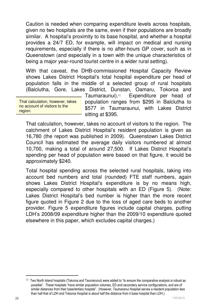Caution is needed when comparing expenditure levels across hospitals, given no two hospitals are the same, even if their populations are broadly similar. A hospital's proximity to its base hospital, and whether a hospital provides a 24/7 ED, for example, will impact on medical and nursing requirements, especially if there is no after-hours GP cover, such as in Queenstown (and especially in a town with the unique characteristics of being a major year-round tourist centre in a wider rural setting).

With that caveat, the DHB-commissioned Hospital Capacity Review shows Lakes District Hospital's total hospital expenditure per head of population falls in the middle of a selected group of rural hospitals (Balclutha, Gore, Lakes District, Dunstan, Oamaru, Tokoroa and

That calculation, however, takes no account of visitors to the region.

Taumaraunui).40 Expenditure per head of population ranges from \$295 in Balclutha to \$577 in Taumaraunui, with Lakes District sitting at \$395.

That calculation, however, takes no account of visitors to the region. The catchment of Lakes District Hospital's resident population is given as 16,780 (the report was published in 2009). Queenstown Lakes District Council has estimated the average daily visitors numbered at almost 10,700, making a total of around 27,500. If Lakes District Hospital's spending per head of population were based on that figure, it would be approximately \$240.

Total hospital spending across the selected rural hospitals, taking into account bed numbers and total (rounded) FTE staff numbers, again shows Lakes District Hospital's expenditure is by no means high, especially compared to other hospitals with an ED (Figure 5). (Note: Lakes District Hospital's bed number is higher than the more recent figure quoted in Figure 2 due to the loss of aged care beds to another provider. Figure 5 expenditure figures include capital charges, putting LDH's 2008/09 expenditure higher than the 2009/10 expenditure quoted elsewhere in this paper, which excludes capital charges.)

 $40$  Two North Island hospitals (Tokoroa and Taumarunui) were added to "to ensure the comparative analysis is robust as possible". These hospitals "have similar population volumes, ED and secondary service configurations, and are of similar distances from their base/tertiary hospital". (However, Taumaranui Hospital serves a resident population less than half that of LDH and Tokoroa Hospital is about half the distance from it base hospital than LDH.)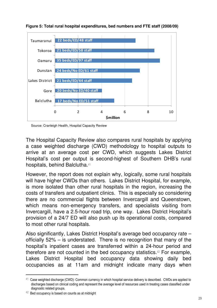

**Figure 5: Total rural hospital expenditures, bed numbers and FTE staff (2008/09)** 

Source: Cranleigh Health, Hospital Capacity Review

The Hospital Capacity Review also compares rural hospitals by applying a case weighted discharge (CWD) methodology to hospital outputs to arrive at an average cost per CWD, which suggests Lakes District Hospital's cost per output is second-highest of Southern DHB's rural hospitals, behind Balclutha.<sup>41</sup>

However, the report does not explain why, logically, some rural hospitals will have higher CWDs than others. Lakes District Hospital, for example, is more isolated than other rural hospitals in the region, increasing the costs of transfers and outpatient clinics. This is especially so considering there are no commercial flights between Invercargill and Queenstown, which means non-emergency transfers, and specialists visiting from Invercargill, have a 2.5-hour road trip, one way. Lakes District Hospital's provision of a 24/7 ED will also push up its operational costs, compared to most other rural hospitals.

Also significantly, Lakes District Hospital's average bed occupancy rate – officially 52% – is understated. There is no recognition that many of the hospital's inpatient cases are transferred within a 24-hour period and therefore are not counted in the bed occupancy statistics.42 For example, Lakes District Hospital bed occupancy data showing daily bed occupancies as at 11am and midnight indicate many days when

 $\ddot{\phantom{a}}$ 

 $41$  Case weighted discharge (CWD): Common currency in which hospital service delivery is described. CWDs are applied to discharges based on clinical coding and represent the average level of resources used in treating cases classified under diagnostic related groups.

 $42$  Bed occupancy is based on counts as at midnight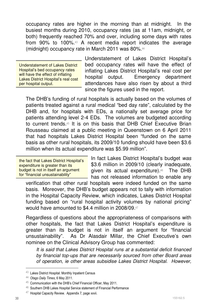occupancy rates are higher in the morning than at midnight. In the busiest months during 2010, occupancy rates (as at 11am, midnight, or both) frequently reached 70% and over, including some days with rates from 90% to 100%.43 A recent media report indicates the average (midnight) occupancy rate in March 2011 was 80%.<sup>44</sup>

Understatement of Lakes District Hospital's bed occupancy rates will have the effect of inflating Lakes District Hospital's real cost per hospital output.

Understatement of Lakes District Hospital's bed occupancy rates will have the effect of inflating Lakes District Hospital's real cost per hospital output. Emergency department attendances have also risen by about a third since the figures used in the report.

The DHB's funding of rural hospitals is actually based on the volumes of patients treated against a rural medical "bed day rate", calculated by the DHB and, for hospitals with EDs, a nationally set average price for patients attending level 2-4 EDs. The volumes are budgeted according to current trends.45 It is on this basis that DHB Chief Executive Brian Rousseau claimed at a public meeting in Queenstown on 6 April 2011 that had hospitals Lakes District Hospital been "funded on the same basis as other rural hospitals, its 2009/10 funding should have been \$3.6 million when its actual expenditure was \$5.99 million".

the fact that Lakes District Hospital's expenditure is greater than its budget is not in itself an argument for "financial unsustainability"

In fact Lakes District Hospital's budget was \$3.6 million in 2009/10 (clearly inadequate, given its actual expenditure).46 The DHB has not released information to enable any

verification that other rural hospitals were indeed funded on the same basis. Moreover, the DHB's budget appears not to tally with information in the Hospital Capacity Review, which indicates, Lakes District Hospital funding based on "rural hospital activity volumes by national pricing" would have amounted to \$4.4 million in 2008/09.<sup>47</sup>

Regardless of questions about the appropriateness of comparisons with other hospitals, the fact that Lakes District Hospital's expenditure is greater than its budget is not in itself an argument for "financial unsustainability". As Dr Alasdair Millar, the Chief Executive's own nominee on the Clinical Advisory Group has commented:

It is said that Lakes District Hospital runs at a substantial deficit financed by financial top-ups that are necessarily sourced from other Board areas of operation, ie other areas subsidise Lakes District Hospital. However,

 $\ddot{\phantom{a}}$ 

<sup>43</sup> Lakes District Hospital: Monthly Inpatient Census

<sup>&</sup>lt;sup>44</sup> Otago Daily Times, 6 May 2011.

<sup>45</sup> Communication with the DHB's Chief Financial Officer, May 2011.

<sup>46</sup> Southern DHB Lakes Hospital Service statement of Financial Performance

<sup>47</sup> Hospital Capacity Review. Appendix 7, page xxvii.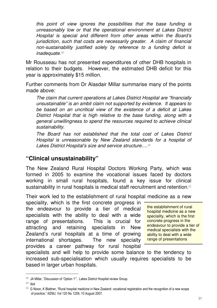this point of view ignores the possibilities that the base funding is unreasonably low or that the operational environment at Lakes District Hospital is special and different from other areas within the Board's jurisdiction, such that costs are necessarily greater. A claim of financial non-sustainability justified solely by reference to a funding deficit is inadequate.<sup>48</sup>

Mr Rousseau has not presented expenditures of other DHB hospitals in relation to their budgets. However, the estimated DHB deficit for this year is approximately \$15 million.

Further comments from Dr Alasdair Millar summarise many of the points made above:

The claim that current operations at Lakes District Hospital are "financially unsustainable" is an ambit claim not supported by evidence. It appears to be based on an uncritical view of the existence of a deficit at Lakes District Hospital that is high relative to the base funding, along with a general unwillingness to spend the resources required to achieve clinical sustainability.

The Board has not established that the total cost of Lakes District Hospital is unreasonable by New Zealand standards for a hospital of Lakes District Hospital's size and service structure....<sup>49</sup>

#### **"Clinical unsustainability"**

The New Zealand Rural Hospital Doctors Working Party, which was formed in 2005 to examine the vocational issues faced by doctors working in small rural hospitals, found a key issue for clinical sustainability in rural hospitals is medical staff recruitment and retention.<sup>50</sup>

Their work led to the establishment of rural hospital medicine as a new

speciality, which is the first concrete progress in the endeavour to provide a tier of medical specialists with the ability to deal with a wide range of presentations. This is crucial for attracting and retaining specialists in New Zealand's rural hospitals at a time of growing international shortages. The new specialty provides a career pathway for rural hospital

the establishment of rural hospital medicine as a new speciality, which is the first concrete progress in the endeavour to provide a tier of medical specialists with the ability to deal with a wide range of presentations

specialists and will help to provide some balance to the tendency to increased sub-specialisation which usually requires specialists to be based in larger urban hospitals.

<sup>48</sup> JA Millar, "Discussion of 'Option 1'". Lakes District Hospital review Group.

 $49$  Ibid

 $50$  G Nixon, K Blattner, "Rural hospital medicine in New Zealand: vocational registration and the recognition of a new scope of practice," NZMJ, Vol 120 No 1259, 10 August 2007.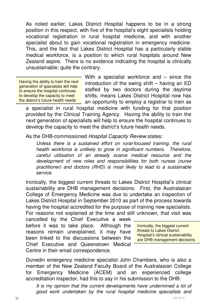As noted earlier, Lakes District Hospital happens to be in a strong position in this respect, with five of the hospital's eight specialists holding vocational registration in rural hospital medicine, and with another specialist about to gain vocational registration in emergency medicine. This, and the fact that Lakes District Hospital has a particularly stable medical workforce, is a position to which rural hospitals around New Zealand aspire. There is no evidence indicating the hospital is clinically unsustainable; quite the contrary.

Having the ability to train the next generation of specialists will help to ensure the hospital continues to develop the capacity to meet the district's future health needs

With a specialist workforce and – since the introduction of the swing shift – having an ED staffed by two doctors during the daytime shifts, means Lakes District Hospital now has an opportunity to employ a registrar to train as

a specialist in rural hospital medicine with funding for that position provided by the Clinical Training Agency. Having the ability to train the next generation of specialists will help to ensure the hospital continues to develop the capacity to meet the district's future health needs.

As the DHB-commissioned Hospital Capacity Review states:

Unless there is a sustained effort on rural-focused training, the rural health workforce is unlikely to grow in significant numbers. Therefore, careful utilisation of an already scarce medical resource and the development of new roles and responsibilities for both nurses (nurse practitioner) and doctors (RHD) is most likely to lead to a sustainable service.

Ironically, the biggest current threats to Lakes District Hospital's clinical sustainability are DHB management decisions. First, the Australasian College of Emergency Medicine was due to undertake an inspection of Lakes District Hospital in September 2010 as part of the process towards having the hospital accredited for the purpose of training new specialists. For reasons not explained at the time and still unknown, that visit was

cancelled by the Chief Executive a week before it was to take place. Although the reasons remain unexplained, it may have been linked to the discussions between the Chief Executive and Queenstown Medical Centre in their email correspondence.

Ironically, the biggest current threats to Lakes District Hospital's clinical sustainability are DHB management decisions

Dunedin emergency medicine specialist John Chambers, who is also a member of the New Zealand Faculty Board of the Australasian College for Emergency Medicine (ACEM) and an experienced college accreditation inspector, had this to say in his submission to the DHB:

It is my opinion that the current developments have undermined a lot of good work undertaken by the rural hospital medicine specialists and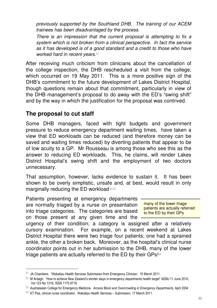previously supported by the Southland DHB. The training of our ACEM trainees has been disadvantaged by the process.

There is an impression that the current proposal is attempting to fix a system which is not broken from a clinical perspective. In fact the service as it has developed is of a good standard and a credit to those who have worked hard in recent years.<sup>51</sup>

After receiving much criticism from clinicians about the cancellation of the college inspection, the DHB rescheduled a visit from the college, which occurred on 19 May 2011. This is a more positive sign of the DHB's commitment to the future development of Lakes District Hospital, though questions remain about that commitment, particularly in view of the DHB management's proposal to do away with the ED's "swing shift" and by the way in which the justification for the proposal was contrived.

#### **The proposal to cut staff**

 $\overline{a}$ 

Some DHB managers, faced with tight budgets and government pressure to reduce emergency department waiting times, have taken a view that ED workloads can be reduced (and therefore money can be saved and waiting times reduced) by diverting patients that appear to be of low acuity to a GP. Mr Rousseau is among those who see this as the answer to reducing ED workloads. This, he claims, will render Lakes District Hospital's swing shift and the employment of two doctors unnecessary.

That assumption, however, lacks evidence to sustain it. It has been shown to be overly simplistic, unsafe and, at best, would result in only marginally reducing the ED workload.52,53

Patients presenting at emergency departments are normally triaged by a nurse on presentation into triage categories. The categories are based on those present at any given time and the

many of the lower triage patients are actually referred to the ED by their GPs

urgency of their condition; a category is assigned after a relatively cursory examination. For example, on a recent weekend at Lakes District Hospital there were two triage four patients; one had a sprained ankle, the other a broken back. Moreover, as the hospital's clinical nurse coordinator points out in her submission to the DHB, many of the lower triage patients are actually referred to the ED by their GPs!<sup>54</sup>

<sup>51</sup> JA Chambers. "Wakatipu Health Services Submission from Emergency Clinician. 15 March 2011.

 $52$  M Ardagh. "How to achieve New Zealand's shorter stays in emergency departments health target" NZMJ 11 June 2010, Vol 123 No 1316; ISSN 1175 8716

<sup>53</sup> Australasian College for Emergency Medicine. Access Block and Overcrowding in Emergency Departments, April 2004

 $54$  KT Paa, clinical nurse coordinator. Wakatipu Health Services – Submission, 17 March 2011.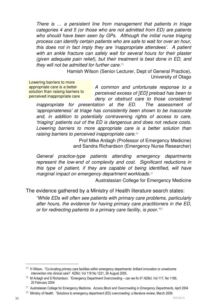There is … a persistent line from management that patients in triage categories 4 and 5 (or those who are not admitted from ED) are patients who should have been seen by GPs. Although the initial nurse triaging process can identify certain patients who are safe to wait for over an hour, this does not in fact imply they are 'inappropriate attendees'. A patient with an ankle fracture can safely wait for several hours for their plaster (given adequate pain relief), but their treatment is best done in ED, and they will not be admitted for further care.<sup>55</sup>

> Hamish Wilson (Senior Lecturer, Dept of General Practice), University of Otago

Lowering barriers to more appropriate care is a better solution than raising barriers to perceived inappropriate care

A common and unfortunate response to a perceived excess of [ED] preload has been to deny or obstruct care to those considered

inappropriate for presentation at the ED. The assessment of 'appropriateness' at triage has consistently been shown to be inaccurate and, in addition to potentially contravening rights of access to care, 'triaging' patients out of the ED is dangerous and does not reduce costs. Lowering barriers to more appropriate care is a better solution than raising barriers to perceived inappropriate care.<sup>56</sup>

> Prof Mike Ardagh (Professor of Emergency Medicine) and Sandra Richardson (Emergency Nurse Researcher)

General practice-type patients attending emergency departments represent the low-end of complexity and cost. Significant reductions in this type of patient, if they are capable of being identified, will have marginal impact on emergency department workloads.<sup>57</sup>

Australasian College for Emergency Medicine

The evidence gathered by a Ministry of Health literature search states:

"While EDs will often see patients with primary care problems, particularly after hours, the evidence for having primary care practitioners in the ED, or for redirecting patients to a primary care facility, is poor."<sup>58</sup>

 $\ddot{\phantom{a}}$ 

<sup>55</sup> H Wilson. "Co-locating primary care facilities within emergency departments: brilliant innovation or unwelcome intervention into clinical care? NZMJ, Vol 118 No 1221, 26 August 2005.

<sup>56</sup> M Ardagh and S Richardson. "Emergency Department Overcrowding – can we fix it? NZMJ, Vol 117, No 1189, 20 February 2004

<sup>57</sup> Australasian College for Emergency Medicine. Access Block and Overcrowding in Emergency Departments, April 2004

<sup>58</sup> Ministry of Health. "Solutions to emergency department (ED) overcrowding: a literature review, March 2009.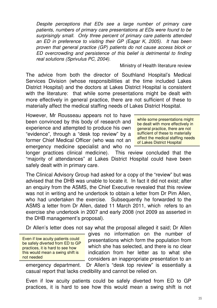Despite perceptions that EDs see a large number of primary care patients, numbers of primary care presentations at EDs were found to be surprisingly small. Only three percent of primary care patients attended an ED in preference to visiting their GP (Eagar K, 2005). It has been proven that general practice (GP) patients do not cause access block or ED overcrowding and persistence of this belief is detrimental to finding real solutions (Sprivulus PC, 2004).

#### Ministry of Health literature review

The advice from both the director of Southland Hospital's Medical Services Division (whose responsibilities at the time included Lakes District Hospital) and the doctors at Lakes District Hospital is consistent with the literature: that while some presentations might be dealt with more effectively in general practice, there are not sufficient of these to materially affect the medical staffing needs of Lakes District Hospital.

However, Mr Rousseau appears not to have been convinced by this body of research and experience and attempted to produce his own "evidence", through a "desk top review" by a former Chief Medical Officer (who was not an emergency medicine specialist and who no

while some presentations might be dealt with more effectively in general practice, there are not sufficient of these to materially affect the medical staffing needs of Lakes District Hospital

longer practices clinical medicine). This review concluded that the "majority of attendances" at Lakes District Hospital could have been safely dealt with in primary care.

The Clinical Advisory Group had asked for a copy of the "review" but was advised that the DHB was unable to locate it. In fact it did not exist; after an enquiry from the ASMS, the Chief Executive revealed that this review was not in writing and he undertook to obtain a letter from Dr Pim Allen, who had undertaken the exercise. Subsequently he forwarded to the ASMS a letter from Dr Allen, dated 11 March 2011, which refers to an exercise she undertook in 2007 and early 2008 (not 2009 as asserted in the DHB management's proposal).

Dr Allen's letter does not say what the proposal alleged it said; Dr Allen

Even if low acuity patients could be safely diverted from ED to GP practices, it is hard to see how this would mean a swing shift is not needed

gives no information on the number of presentations which form the population from which she has selected, and there is no clear indication from her letter as to what she considers an inappropriate presentation to an

emergency department. Dr Allen's "desk top review" is essentially a casual report that lacks credibility and cannot be relied on.

Even if low acuity patients could be safely diverted from ED to GP practices, it is hard to see how this would mean a swing shift is not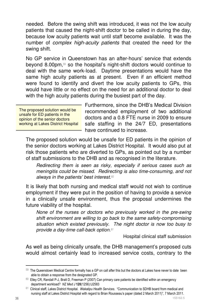needed. Before the swing shift was introduced, it was not the low acuity patients that caused the night-shift doctor to be called in during the day. because low acuity patients wait until staff become available. It was the number of complex high-acuity patients that created the need for the swing shift.

No GP service in Queenstown has an after-hours' service that extends beyond 8.00pm,59 so the hospital's night-shift doctors would continue to deal with the same work-load. Daytime presentations would have the same high acuity patients as at present. Even if an efficient method were found to identify and divert the low acuity patients to GPs, this would have little or no effect on the need for an additional doctor to deal with the high acuity patients during the busiest part of the day.

The proposed solution would be unsafe for ED patients in the opinion of the senior doctors working at Lakes District Hospital Furthermore, since the DHB's Medical Division recommended employment of two additional doctors and a 0.8 FTE nurse in 2009 to ensure safe staffing in the 24/7 ED, presentations have continued to increase.

The proposed solution would be unsafe for ED patients in the opinion of the senior doctors working at Lakes District Hospital. It would also put at risk those patients who are diverted to GPs, as pointed out by a number of staff submissions to the DHB and as recognised in the literature.

Redirecting them is seen as risky, especially if serious cases such as meningitis could be missed. Redirecting is also time-consuming, and not always in the patients' best interest.<sup>60</sup>

It is likely that both nursing and medical staff would not wish to continue employment if they were put in the position of having to provide a service in a clinically unsafe environment, thus the proposal undermines the future viability of the hospital.

None of the nurses or doctors who previously worked in the pre-swing shift environment are willing to go back to the same safety-compromising situation which existed previously. The night doctor is now too busy to provide a day-time call-back option.<sup>61</sup>

Hospital clinical staff submission

As well as being clinically unsafe, the DHB management's proposed cuts would almost certainly lead to increased service costs, contrary to the

 $59$  The Queenstown Medical Centre formally has a GP on call after this but the doctors at Lakes have never to date been able to obtain a response from the designated GP.

 $60$  Elley CR, Randall P-J, Bratt D, Freeman P (2007) Can primary care patients be identified within an emergency department workload? NZ Med J 120(1256):U2583

 $61$  Clinical staff, Lakes District Hospital. Wakatipu Health Services. "Communication to SDHB board from medical and nursing staff at Lakes District Hospital with regard to Brian Rousseau's paper (dated 2 March 2011)", 7 March 2011.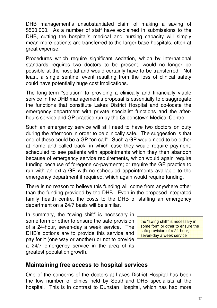DHB management's unsubstantiated claim of making a saving of \$500,000. As a number of staff have explained in submissions to the DHB, cutting the hospital's medical and nursing capacity will simply mean more patients are transferred to the larger base hospitals, often at great expense.

Procedures which require significant sedation, which by international standards requires two doctors to be present, would no longer be possible at the hospital and would certainly have to be transferred. Not least, a single sentinel event resulting from the loss of clinical safety could have potentially huge cost implications.

The long-term "solution" to providing a clinically and financially viable service in the DHB management's proposal is essentially to disaggregate the functions that constitute Lakes District Hospital and co-locate the emergency department with private specialist functions and the afterhours service and GP practice run by the Queenstown Medical Centre.

Such an emergency service will still need to have two doctors on duty during the afternoon in order to be clinically safe. The suggestion is that one of these could be a GP "on call". Such a GP would need to be either at home and called back, in which case they would require payment; scheduled to see patients with appointments which they then abandon because of emergency service requirements, which would again require funding because of foregone co-payments; or require the GP practice to run with an extra GP with no scheduled appointments available to the emergency department if required, which again would require funding.

There is no reason to believe this funding will come from anywhere other than the funding provided by the DHB. Even in the proposed integrated family health centre, the costs to the DHB of staffing an emergency department on a 24/7 basis will be similar.

In summary, the "swing shift" is necessary in some form or other to ensure the safe provision of a 24-hour, seven-day a week service. The DHB's options are to provide this service and pay for it (one way or another) or not to provide a 24/7 emergency service in the area of its greatest population growth.

the "swing shift" is necessary in some form or other to ensure the safe provision of a 24-hour, seven-day a week service

#### **Maintaining free access to hospital services**

One of the concerns of the doctors at Lakes District Hospital has been the low number of clinics held by Southland DHB specialists at the hospital. This is in contrast to Dunstan Hospital, which has had more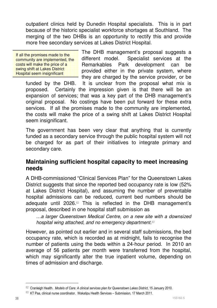outpatient clinics held by Dunedin Hospital specialists. This is in part because of the historic specialist workforce shortages at Southland. The merging of the two DHBs is an opportunity to rectify this and provide more free secondary services at Lakes District Hospital.

If all the promises made to the community are implemented, the costs will make the price of a swing shift at Lakes District Hospital seem insignificant

The DHB management's proposal suggests a different model. Specialist services at the Remarkables Park development can be provided either in the private system, where they are charged by the service provider, or be

funded by the DHB. It is unclear from the proposal what mix is proposed. Certainly the impression given is that there will be an expansion of services; that was a key part of the DHB management's original proposal. No costings have been put forward for these extra services. If all the promises made to the community are implemented, the costs will make the price of a swing shift at Lakes District Hospital seem insignificant.

The government has been very clear that anything that is currently funded as a secondary service through the public hospital system will not be charged for as part of their initiatives to integrate primary and secondary care.

#### **Maintaining sufficient hospital capacity to meet increasing needs**

A DHB-commissioned "Clinical Services Plan" for the Queenstown Lakes District suggests that since the reported bed occupancy rate is low (52%) at Lakes District Hospital), and assuming the number of preventable hospital admissions can be reduced, current bed numbers should be adequate until 2026.62 This is reflected in the DHB management's proposal, described in one hospital staff submission as

…a larger Queenstown Medical Centre, on a new site with a downsized hospital wing attached, and no emergency department.<sup>63</sup>

However, as pointed out earlier and in several staff submissions, the bed occupancy rate, which is recorded as at midnight, fails to recognise the number of patients using the beds within a 24-hour period. In 2010 an average of 56 patients per month were transferred from the hospital, which may significantly alter the true inpatient volume, depending on times of admission and discharge.

<sup>62</sup> Cranleigh Health. Models of Care: A clinical services plan for Queenstown Lakes District, 15 January 2010.

 $63$  KT Paa, clinical nurse coordinator. Wakatipu Health Services – Submission, 17 March 2011.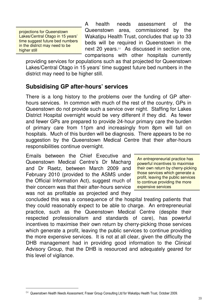projections for Queenstown Lakes/Central Otago in 15 years' time suggest future bed numbers in the district may need to be higher still

 $\ddot{\phantom{a}}$ 

A health needs assessment of the Queenstown area, commissioned by the Wakatipu Health Trust, concludes that up to 33 beds will be required in Queenstown in the next 20 years.<sup>64</sup> As discussed in section one, comparisons with other hospitals currently

providing services for populations such as that projected for Queenstown Lakes/Central Otago in 15 years' time suggest future bed numbers in the district may need to be higher still.

#### **Subsidising GP after-hours' services**

There is a long history to the problems over the funding of GP afterhours services. In common with much of the rest of the country, GPs in Queenstown do not provide such a service over night. Staffing for Lakes District Hospital overnight would be very different if they did. As fewer and fewer GPs are prepared to provide 24-hour primary care the burden of primary care from 11pm and increasingly from 8pm will fall on hospitals. Much of this burden will be diagnosis. There appears to be no suggestion by the Queenstown Medical Centre that their after-hours responsibilities continue overnight.

Emails between the Chief Executive and Queenstown Medical Centre's Dr Macharg and Dr Raetz, between March 2009 and February 2010 (provided to the ASMS under the Official Information Act), suggest much of their concern was that their after-hours service was not as profitable as projected and they

An entrepreneurial practice has powerful incentives to maximise their own return by cherry-picking those services which generate a profit, leaving the public services to continue providing the more expensive services

concluded this was a consequence of the hospital treating patients that they could reasonably expect to be able to charge. An entrepreneurial practice, such as the Queenstown Medical Centre (despite their respected professionalism and standards of care), has powerful incentives to maximise their own return by cherry-picking those services which generate a profit, leaving the public services to continue providing the more expensive services. It is not at all clear, given the difficulty the DHB management had in providing good information to the Clinical Advisory Group, that the DHB is resourced and adequately geared for this level of vigilance.

 $64$  Queenstown Health Needs Assessment, Fraser Group Consulting Ltd for Wakatipu Health Trust, October 2009.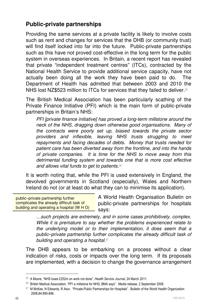#### **Public-private partnerships**

Providing the same services at a private facility is likely to involve costs such as rent and changes for services that the DHB (or community trust) will find itself locked into far into the future. Public-private partnerships such as this have not proved cost-effective in the long term for the public system in overseas experiences. In Britain, a recent report has revealed that private "independent treatment centres" (ITCs), contracted by the National Health Service to provide additional service capacity, have not actually been doing all the work they have been paid to do. The Department of Health has admitted that between 2003 and 2010 the NHS lost NZ\$523 million to ITCs for services that they failed to deliver.<sup>65</sup>

The British Medical Association has been particularly scathing of the Private Finance Initiative (PFI) which is the main form of public-private partnerships in Britain's NHS:

PFI [private finance initiative] has proved a long-term millstone around the neck of the NHS, dragging down otherwise good organisations. Many of the contracts were poorly set up, biased towards the private sector providers and inflexible, leaving NHS trusts struggling to meet repayments and facing decades of debts. Money that trusts needed for patient care has been diverted away from the frontline, and into the hands of private companies. It is time for the NHS to move away from this detrimental funding system and towards one that is more cost effective and allows vital funds to get to patients.<sup>66</sup>

It is worth noting that, while the PFI is used extensively in England, the devolved governments in Scotland (especially), Wales and Northern Ireland do not (or at least do what they can to minimise its application).

public–private partnership further complicates the already difficult task of building and operating a hospital (W H O)

A World Health Organisation Bulletin on public-private partnerships for hospitals says:

…such projects are extremely, and in some cases prohibitively, complex. While it is premature to say whether the problems experienced relate to the underlying model or to their implementation, it does seem that a public–private partnership further complicates the already difficult task of building and operating a hospital.<sup>67</sup>

The DHB appears to be embarking on a process without a clear indication of risks, costs or impacts over the long term. If its proposals are implemented, with a decision to change the governance arrangement

<sup>65</sup> A Moore, "NHS loses £252m on work not done", Health Service Journal, 24 March 2011.

<sup>66</sup> British Medical Association, "PFI a millstone for NHS, BMA says". Media release, 2 September 2008.

 $67$  M McKee, N Edwards, R Atun. "Private-Public Partnerships for Hospitals". Bulletin of the World Health Organization 2006;84:890-896.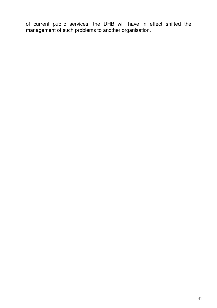of current public services, the DHB will have in effect shifted the management of such problems to another organisation.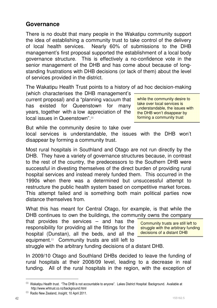#### **Governance**

There is no doubt that many people in the Wakatipu community support the idea of establishing a community trust to take control of the delivery of local health services. Nearly 60% of submissions to the DHB management's first proposal supported the establishment of a local body governance structure. This is effectively a no-confidence vote in the senior management of the DHB and has come about because of longstanding frustrations with DHB decisions (or lack of them) about the level of services provided in the district.

The Wakatipu Health Trust points to a history of ad hoc decision-making

(which characterises the DHB management's current proposal) and a "planning vacuum that has existed for Queenstown for many years, together with a low appreciation of the local issues in Queenstown".<sup>68</sup>

while the community desire to take over local services is understandable, the issues with the DHB won't disappear by forming a community trust

But while the community desire to take over

local services is understandable, the issues with the DHB won't disappear by forming a community trust.

Most rural hospitals in Southland and Otago are not run directly by the DHB. They have a variety of governance structures because, in contrast to the rest of the country, the predecessors to the Southern DHB were successful in divesting themselves of the direct burden of providing rural hospital services and instead merely funded them. This occurred in the 1990s when there was a determined but unsuccessful attempt to restructure the public health system based on competitive market forces. This attempt failed and is something both main political parties now distance themselves from.

What this has meant for Central Otago, for example, is that while the DHB continues to own the buildings, the community owns the company

that provides the services – and has the responsibility for providing all the fittings for the hospital (Dunstan), all the beds, and all the equipment.69 Community trusts are still left to

Community trusts are still left to struggle with the arbitrary funding decisions of a distant DHB

struggle with the arbitrary funding decisions of a distant DHB.

In 2009/10 Otago and Southland DHBs decided to leave the funding of rural hospitals at their 2008/09 level, leading to a decrease in real funding. All of the rural hospitals in the region, with the exception of

<sup>68</sup> Wakatipu Health trust. "The DHB is not accountable to anyone". Lakes District Hospital: Background. Available at http://www.whtrust.co.nz/background.html

<sup>69</sup> Radio New Zealand, Insight, 10 April 2011.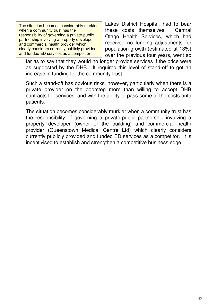The situation becomes considerably murkier when a community trust has the responsibility of governing a private-public partnership involving a property developer and commercial health provider which clearly considers currently publicly provided and funded ED services as a competitor

Lakes District Hospital, had to bear these costs themselves. Central Otago Health Services, which had received no funding adjustments for population growth (estimated at 13%) over the previous four years, went so

far as to say that they would no longer provide services if the price were as suggested by the DHB. It required this level of stand-off to get an increase in funding for the community trust.

Such a stand-off has obvious risks, however, particularly when there is a private provider on the doorstep more than willing to accept DHB contracts for services, and with the ability to pass some of the costs onto patients.

The situation becomes considerably murkier when a community trust has the responsibility of governing a private-public partnership involving a property developer (owner of the building) and commercial health provider (Queenstown Medical Centre Ltd) which clearly considers currently publicly provided and funded ED services as a competitor. It is incentivised to establish and strengthen a competitive business edge.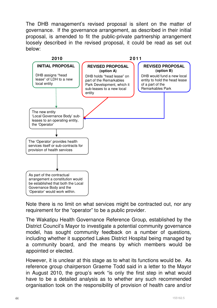The DHB management's revised proposal is silent on the matter of governance. If the governance arrangement, as described in their initial proposal, is amended to fit the public-private partnership arrangement loosely described in the revised proposal, it could be read as set out below:



Note there is no limit on what services might be contracted out, nor any requirement for the "operator" to be a public provider.

The Wakatipu Health Governance Reference Group, established by the District Council's Mayor to investigate a potential community governance model, has sought community feedback on a number of questions, including whether it supported Lakes District Hospital being managed by a community board, and the means by which members would be appointed or elected.

However, it is unclear at this stage as to what its functions would be. As reference group chairperson Graeme Todd said in a letter to the Mayor in August 2010, the group's work "is only the first step in what would have to be a detailed analysis as to whether any such recommended organisation took on the responsibility of provision of health care and/or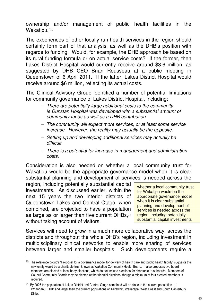ownership and/or management of public health facilities in the Wakatipu."70

The experiences of other locally run health services in the region should certainly form part of that analysis, as well as the DHB's position with regards to funding. Would, for example, the DHB approach be based on its rural funding formula or on actual service costs? If the former, then Lakes District Hospital would currently receive around \$3.6 million, as suggested by DHB CEO Brian Rousseau at a public meeting in Queenstown of 6 April 2011. If the latter, Lakes District Hospital would receive around \$6 million, reflecting its actual costs.

The Clinical Advisory Group identified a number of potential limitations for community governance of Lakes District Hospital, including:

- There are potentially large additional costs to the community, ie Dunstan Hospital was developed with a substantial amount of community funds as well as a DHB contribution.
- The community will expect more services, or at least some service increase. However, the reality may actually be the opposite.
- Setting up and developing additional services may actually be difficult.
- There is a potential for increase in management and administration costs.

Consideration is also needed on whether a local community trust for Wakatipu would be the appropriate governance model when it is clear substantial planning and development of services is needed across the

region, including potentially substantial capital investments. As discussed earlier, within the next 15 years the two interior districts of Queenstown Lakes and Central Otago, when combined, are projected to have a population as large as or larger than five current DHBs.<sup>71</sup> without taking account of visitors.

 $\ddot{\phantom{a}}$ 

whether a local community trust for Wakatipu would be the appropriate governance model when it is clear substantial planning and development of services is needed across the region, including potentially substantial capital investments

Services will need to grow in a much more collaborative way, across the districts and throughout the whole DHB's region, including investment in multidisciplinary clinical networks to enable more sharing of services between larger and smaller hospitals. Such developments require a

 $70$  The reference group's "Proposal for a governance model for delivery of health care and public health facility" suggests the new entity would be a charitable trust known as Wakatipu Community Health Board. It also proposes two board members are elected at local body elections, which do not include elections for charitable trust boards. Members of Council Community Boards may be elected at the triennial elections, though a minimum of four elected members is required.

 $71$  By 2026 the population of Lakes District and Central Otago combined will be close to the current population of Whanganui DHB and larger than the current populations of Tairawhiti, Wairarapa, West Coast and South Canterbury DHB<sub>s.</sub>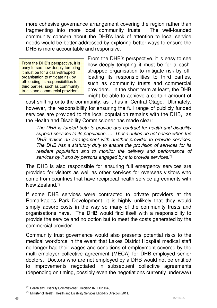more cohesive governance arrangement covering the region rather than fragmenting into more local community trusts. The well-founded community concern about the DHB's lack of attention to local service needs would be better addressed by exploring better ways to ensure the DHB is more accountable and responsive.

From the DHB's perspective, it is easy to see how deeply tempting it must be for a cash-strapped organisation to mitigate risk by off-loading its responsibilities to third parties, such as community trusts and commercial providers

From the DHB's perspective, it is easy to see how deeply tempting it must be for a cashstrapped organisation to mitigate risk by offloading its responsibilities to third parties, such as community trusts and commercial providers. In the short term at least, the DHB might be able to achieve a certain amount of

cost shifting onto the community, as it has in Central Otago. Ultimately, however, the responsibility for ensuring the full range of publicly funded services are provided to the local population remains with the DHB, as the Health and Disability Commissioner has made clear:

The DHB is funded both to provide and contract for health and disability support services to its population, ... These duties do not cease when the DHB makes an arrangement with another provider to provide services. The DHB has a statutory duty to ensure the provision of services for its resident population and to monitor the delivery and performance of services by it and by persons engaged by it to provide services.<sup>72</sup>

The DHB is also responsible for ensuring full emergency services are provided for visitors as well as other services for overseas visitors who come from countries that have reciprocal health service agreements with New Zealand.<sup>73</sup>

If some DHB services were contracted to private providers at the Remarkables Park Development, it is highly unlikely that they would simply absorb costs in the way so many of the community trusts and organisations have. The DHB would find itself with a responsibility to provide the service and no option but to meet the costs generated by the commercial provider.

Community trust governance would also presents potential risks to the medical workforce in the event that Lakes District Hospital medical staff no longer had their wages and conditions of employment covered by the multi-employer collective agreement (MECA) for DHB-employed senior doctors. Doctors who are not employed by a DHB would not be entitled to improvements negotiated in subsequent collective agreements (depending on timing, possibly even the negotiations currently underway)

<sup>72</sup> Health and Disability Commissioner. Decision 07HDC11548

 $73$  Minister of Health. Health and Disability Services Eligibility Direction 2011.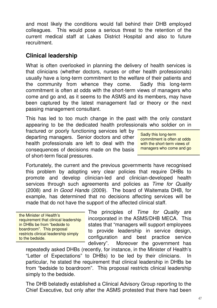and most likely the conditions would fall behind their DHB employed colleagues. This would pose a serious threat to the retention of the current medical staff at Lakes District Hospital and also to future recruitment.

#### **Clinical leadership**

What is often overlooked in planning the delivery of health services is that clinicians (whether doctors, nurses or other health professionals) usually have a long-term commitment to the welfare of their patients and the community from whence they come. Sadly this long-term commitment is often at odds with the short-term views of managers who come and go and, as it seems to the ASMS and its members, may have been captured by the latest management fad or theory or the next passing management consultant.

This has led to too much change in the past with the only constant appearing to be the dedicated health professionals who soldier on in

fractured or poorly functioning services left by departing managers. Senior doctors and other health professionals are left to deal with the consequences of decisions made on the basis of short-term fiscal pressures.

Sadly this long-term commitment is often at odds with the short-term views of managers who come and go

Fortunately, the current and the previous governments have recognised this problem by adopting very clear policies that require DHBs to promote and develop clinician-led and clinician-developed health services through such agreements and policies as Time for Quality (2008) and In Good Hands (2009). The board of Waitemata DHB, for example, has determined that no decisions affecting services will be made that do not have the support of the affected clinical staff.

the Minister of Health's requirement that clinical leadership in DHBs be from "bedside to boardroom". This proposal restricts clinical leadership simply to the bedside.

The principles of Time for Quality are incorporated in the ASMS/DHB MECA. This states that "managers will support employees to provide leadership in service design, configuration and best practice service delivery". Moreover the government has

repeatedly asked DHBs (recently, for instance, in the Minister of Health's "Letter of Expectations" to DHBs) to be led by their clinicians. In particular, he stated the requirement that clinical leadership in DHBs be from "bedside to boardroom". This proposal restricts clinical leadership simply to the bedside.

The DHB belatedly established a Clinical Advisory Group reporting to the Chief Executive, but only after the ASMS protested that there had been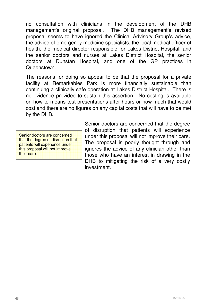no consultation with clinicians in the development of the DHB management's original proposal. The DHB management's revised proposal seems to have ignored the Clinical Advisory Group's advice, the advice of emergency medicine specialists, the local medical officer of health, the medical director responsible for Lakes District Hospital, and the senior doctors and nurses at Lakes District Hospital, the senior doctors at Dunstan Hospital, and one of the GP practices in Queenstown.

The reasons for doing so appear to be that the proposal for a private facility at Remarkables Park is more financially sustainable than continuing a clinically safe operation at Lakes District Hospital. There is no evidence provided to sustain this assertion. No costing is available on how to means test presentations after hours or how much that would cost and there are no figures on any capital costs that will have to be met by the DHB.

Senior doctors are concerned that the degree of disruption that patients will experience under this proposal will not improve their care.

Senior doctors are concerned that the degree of disruption that patients will experience under this proposal will not improve their care. The proposal is poorly thought through and ignores the advice of any clinician other than those who have an interest in drawing in the DHB to mitigating the risk of a very costly investment.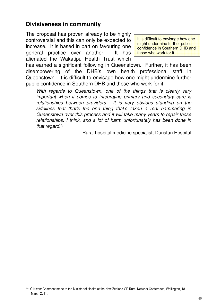#### **Divisiveness in community**

The proposal has proven already to be highly controversial and this can only be expected to increase. It is based in part on favouring one general practice over another. It has alienated the Wakatipu Health Trust which

It is difficult to envisage how one might undermine further public confidence in Southern DHB and those who work for it

has earned a significant following in Queenstown. Further, it has been disempowering of the DHB's own health professional staff in Queenstown. It is difficult to envisage how one might undermine further public confidence in Southern DHB and those who work for it.

With regards to Queenstown, one of the things that is clearly very important when it comes to integrating primary and secondary care is relationships between providers. It is very obvious standing on the sidelines that that's the one thing that's taken a real hammering in Queenstown over this process and it will take many years to repair those relationships, I think, and a lot of harm unfortunately has been done in that regard. $74$ 

Rural hospital medicine specialist, Dunstan Hospital

<sup>&</sup>lt;sup>74</sup> G Nixon: Comment made to the Minister of Health at the New Zealand GP Rural Network Conference, Wellington, 18 March 2011.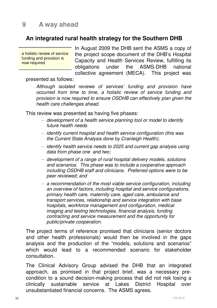#### **An integrated rural health strategy for the Southern DHB**

a holistic review of service funding and provision is now required

In August 2009 the DHB sent the ASMS a copy of the project scope document of the DHB's Hospital Capacity and Health Services Review, fulfilling its obligations under the ASMS-DHB national collective agreement (MECA). This project was

#### presented as follows:

Although isolated reviews of services' funding and provision have occurred from time to time, a holistic review of service funding and provision is now required to ensure OSDHB can effectively plan given the health care challenges ahead.

This review was presented as having five phases:

- development of a health service planning tool or model to identify future health needs
- identify current hospital and health service configuration (this was the Current State Analysis done by Cranleigh Health);
- identify health service needs to 2025 and current gap analysis using data from phase one and two;
- development of a range of rural hospital delivery models, solutions and scenarios. This phase was to include a cooperative approach including OSDHB staff and clinicians. Preferred options were to be peer reviewed; and
- a recommendation of the most viable service configuration, including an overview of factors, including hospital and service configurations, primary health care, maternity care, aged care, ambulance and transport services, relationship and service integration with base hospitals, workforce management and configuration, medical imaging and testing technologies, financial analysis, funding contracting and service measurement and the opportunity for public/private cooperation.

The project terms of reference promised that clinicians (senior doctors and other health professionals) would then be involved in the gaps analysis and the production of the "models, solutions and scenarios" which would lead to a recommended scenario for stakeholder consultation.

The Clinical Advisory Group advised the DHB that an integrated approach, as promised in that project brief, was a necessary precondition to a sound decision-making process that did not risk losing a clinically sustainable service at Lakes District Hospital over unsubstantiated financial concerns. The ASMS agrees.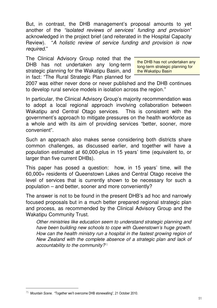But, in contrast, the DHB management's proposal amounts to yet another of the "isolated reviews of services' funding and provision" acknowledged in the project brief (and reiterated in the Hospital Capacity Review). "A holistic review of service funding and provision is now required."

The Clinical Advisory Group noted that the DHB has not undertaken any long-term strategic planning for the Wakatipu Basin, and in fact: "The Rural Strategic Plan planned for

the DHB has not undertaken any long-term strategic planning for the Wakatipu Basin

2007 was either never done or never published and the DHB continues to develop rural service models in isolation across the region."

In particular, the Clinical Advisory Group's majority recommendation was to adopt a local regional approach involving collaboration between Wakatipu and Central Otago services. This is consistent with the government's approach to mitigate pressures on the health workforce as a whole and with its aim of providing services "better, sooner, more convenient".

Such an approach also makes sense considering both districts share common challenges, as discussed earlier, and together will have a population estimated at 60,000-plus in 15 years' time (equivalent to, or larger than five current DHBs).

This paper has posed a question: how, in 15 years' time, will the 60,000+ residents of Queenstown Lakes and Central Otago receive the level of services that is currently shown to be necessary for such a population – and better, sooner and more conveniently?

The answer is not to be found in the present DHB's ad hoc and narrowly focused proposals but in a much better prepared regional strategic plan and process, as recommended by the Clinical Advisory Group and the Wakatipu Community Trust.

Other ministries like education seem to understand strategic planning and have been building new schools to cope with Queenstown's huge growth. How can the health ministry run a hospital in the fastest growing region of New Zealand with the complete absence of a strategic plan and lack of accountability to the community?<sup>75</sup>

 $\ddot{\phantom{a}}$ 

 $75$  Mountain Scene. "Together we'll overcome DHB stonewalling", 21 October 2010.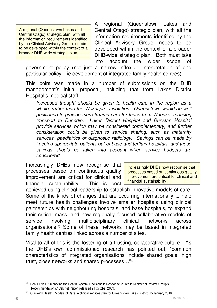A regional (Queenstown Lakes and Central Otago) strategic plan, with all the information requirements identified by the Clinical Advisory Group, needs to be developed within the context of a broader DHB-wide strategic plan

A regional (Queenstown Lakes and Central Otago) strategic plan, with all the information requirements identified by the Clinical Advisory Group, needs to be developed within the context of a broader DHB-wide strategic plan. Both must take into account the wider scope of

government policy (not just a narrow inflexible interpretation of one particular policy – ie development of integrated family health centres).

This point was made in a number of submissions on the DHB management's initial proposal, including that from Lakes District Hospital's medical staff:

Increased thought should be given to health care in the region as a whole, rather than the Wakatipu in isolation. Queenstown would be well positioned to provide more trauma care for those from Wanaka, reducing transport to Dunedin. Lakes District Hospital and Dunstan Hospital provide services which may be considered complementary, and further consideration could be given to service sharing, such as maternity services, paediatrics or diagnostic radiology. Savings can be made by keeping appropriate patients out of base and tertiary hospitals, and these savings should be taken into account when service budgets are considered.

Increasingly DHBs now recognise that processes based on continuous quality improvement are critical for clinical and financial sustainability. This is best

Increasingly DHBs now recognise that processes based on continuous quality improvement are critical for clinical and financial sustainability

achieved using clinical leadership to establish innovative models of care. Some of the kinds of changes that are occurring internationally to help meet future health challenges involve smaller hospitals using clinical partnerships with neighbouring hospitals, and base hospitals, to expand their critical mass, and new regionally focused collaborative models of service involving multidisciplinary clinical networks across organisations.76 Some of these networks may be based in integrated family health centres linked across a number of sites.

Vital to all of this is the fostering of a trusting, collaborative culture. As the DHB's own commissioned research has pointed out, "common characteristics of integrated organisations include shared goals, high trust, close networks and shared processes…"<sup>77</sup>

 $76$  Hon T Ryall. "Improving the Health System: Decisions in Response to Health Ministerial Review Group's Recommendations." Cabinet Paper, released 21 October 2009.

<sup>77</sup> Cranleigh Health. Models of Care: A clinical services plan for Queenstown Lakes District, 15 January 2010.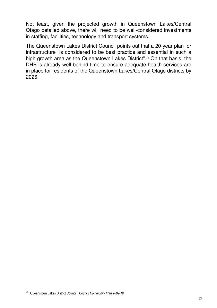Not least, given the projected growth in Queenstown Lakes/Central Otago detailed above, there will need to be well-considered investments in staffing, facilities, technology and transport systems.

The Queenstown Lakes District Council points out that a 20-year plan for infrastructure "is considered to be best practice and essential in such a high growth area as the Queenstown Lakes District".78 On that basis, the DHB is already well behind time to ensure adequate health services are in place for residents of the Queenstown Lakes/Central Otago districts by 2026.

 $\ddot{\phantom{a}}$ 

<sup>78</sup> Queenstown Lakes District Council. Council Community Plan 2009-19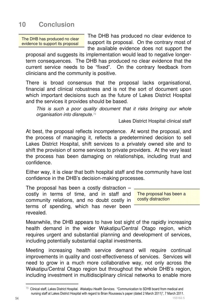## **10 Conclusion**

The DHB has produced no clear evidence to support its proposal

The DHB has produced no clear evidence to support its proposal. On the contrary most of the available evidence does not support the

proposal and suggests its implementation would lead to negative longerterm consequences. The DHB has produced no clear evidence that the current service needs to be "fixed". On the contrary feedback from clinicians and the community is positive.

There is broad consensus that the proposal lacks organisational, financial and clinical robustness and is not the sort of document upon which important decisions such as the future of Lakes District Hospital and the services it provides should be based.

This is such a poor quality document that it risks bringing our whole organisation into disrepute.<sup>79</sup>

Lakes District Hospital clinical staff

At best, the proposal reflects incompetence. At worst the proposal, and the process of managing it, reflects a predetermined decision to sell Lakes District Hospital, shift services to a privately owned site and to shift the provision of some services to private providers. At the very least the process has been damaging on relationships, including trust and confidence.

Either way, it is clear that both hospital staff and the community have lost confidence in the DHB's decision-making processes.

The proposal has been a costly distraction – costly in terms of time, and in staff and community relations, and no doubt costly in terms of spending, which has never been revealed.

The proposal has been a costly distraction

Meanwhile, the DHB appears to have lost sight of the rapidly increasing health demand in the wider Wakatipu/Central Otago region, which requires urgent and substantial planning and development of services, including potentially substantial capital investments.

Meeting increasing health service demand will require continual improvements in quality and cost-effectiveness of services. Services will need to grow in a much more collaborative way, not only across the Wakatipu/Central Otago region but throughout the whole DHB's region, including investment in multidisciplinary clinical networks to enable more

<sup>&</sup>lt;sup>79</sup> Clinical staff, Lakes District Hospital. Wakatipu Health Services. "Communication to SDHB board from medical and nursing staff at Lakes District Hospital with regard to Brian Rousseau's paper (dated 2 March 2011)", 7 March 2011.